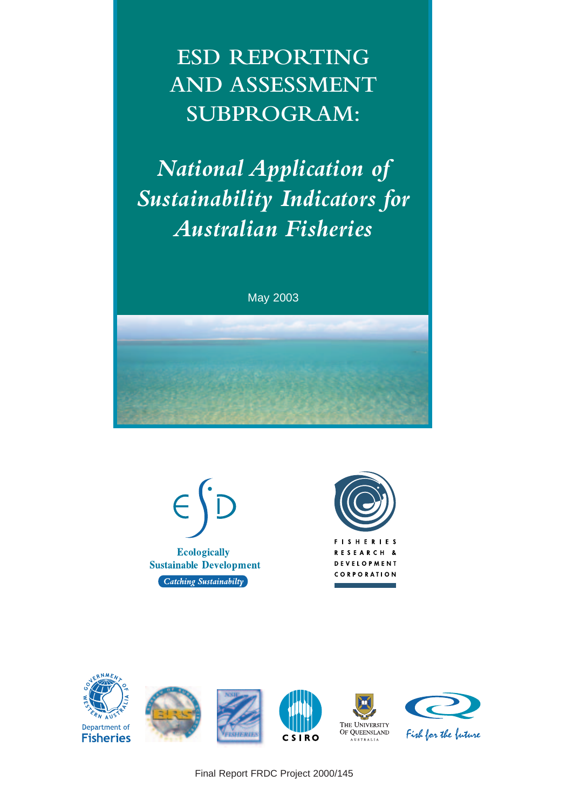**ESD REPORTING AND ASSESSMENT SUBPROGRAM:**

*National Application of Sustainability Indicators for Australian Fisheries*

May 2003







Final Report FRDC Project 2000/145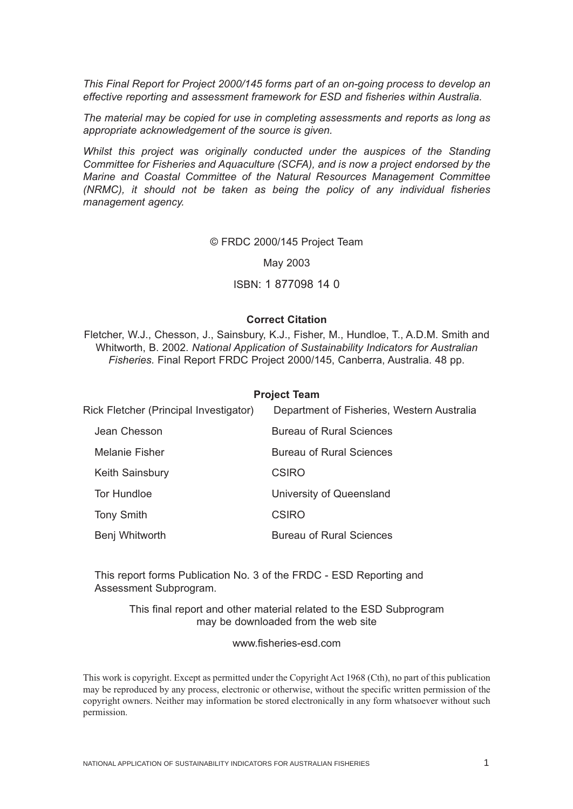*This Final Report for Project 2000/145 forms part of an on-going process to develop an effective reporting and assessment framework for ESD and fisheries within Australia.* 

*The material may be copied for use in completing assessments and reports as long as appropriate acknowledgement of the source is given.*

*Whilst this project was originally conducted under the auspices of the Standing Committee for Fisheries and Aquaculture (SCFA), and is now a project endorsed by the Marine and Coastal Committee of the Natural Resources Management Committee (NRMC), it should not be taken as being the policy of any individual fisheries management agency.*

#### © FRDC 2000/145 Project Team

#### May 2003

#### ISBN: 1 877098 14 0

#### **Correct Citation**

Fletcher, W.J., Chesson, J., Sainsbury, K.J., Fisher, M., Hundloe, T., A.D.M. Smith and Whitworth, B. 2002. *National Application of Sustainability Indicators for Australian Fisheries.* Final Report FRDC Project 2000/145, Canberra, Australia. 48 pp.

#### **Project Team**

| Rick Fletcher (Principal Investigator) | Department of Fisheries, Western Australia |
|----------------------------------------|--------------------------------------------|
| Jean Chesson                           | <b>Bureau of Rural Sciences</b>            |
| <b>Melanie Fisher</b>                  | <b>Bureau of Rural Sciences</b>            |
| Keith Sainsbury                        | <b>CSIRO</b>                               |
| Tor Hundloe                            | University of Queensland                   |
| <b>Tony Smith</b>                      | <b>CSIRO</b>                               |
| Benj Whitworth                         | <b>Bureau of Rural Sciences</b>            |

This report forms Publication No. 3 of the FRDC - ESD Reporting and Assessment Subprogram.

> This final report and other material related to the ESD Subprogram may be downloaded from the web site

> > www.fisheries-esd.com

This work is copyright. Except as permitted under the Copyright Act 1968 (Cth), no part of this publication may be reproduced by any process, electronic or otherwise, without the specific written permission of the copyright owners. Neither may information be stored electronically in any form whatsoever without such permission.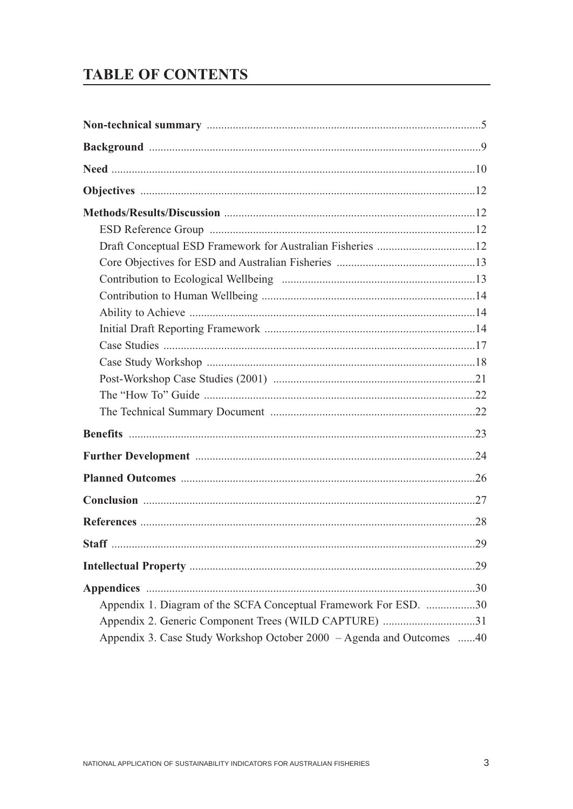# **TABLE OF CONTENTS**

| Appendix 1. Diagram of the SCFA Conceptual Framework For ESD. 30      |  |
|-----------------------------------------------------------------------|--|
| Appendix 2. Generic Component Trees (WILD CAPTURE) 31                 |  |
| Appendix 3. Case Study Workshop October 2000 - Agenda and Outcomes 40 |  |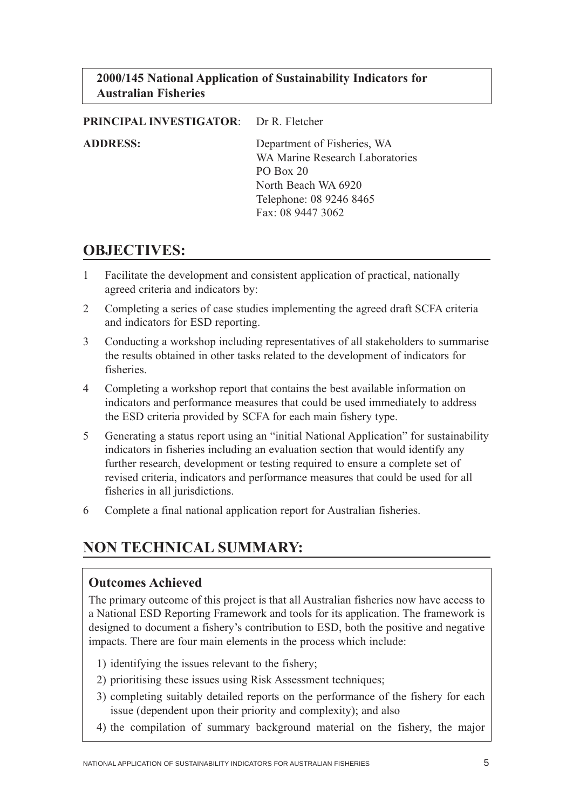## <span id="page-5-0"></span>**2000/145 National Application of Sustainability Indicators for Australian Fisheries**

#### **PRINCIPAL INVESTIGATOR**: Dr R. Fletcher

**ADDRESS:** Department of Fisheries, WA WA Marine Research Laboratories PO Box 20 North Beach WA 6920 Telephone: 08 9246 8465 Fax: 08 9447 3062

# **OBJECTIVES:**

- 1 Facilitate the development and consistent application of practical, nationally agreed criteria and indicators by:
- 2 Completing a series of case studies implementing the agreed draft SCFA criteria and indicators for ESD reporting.
- 3 Conducting a workshop including representatives of all stakeholders to summarise the results obtained in other tasks related to the development of indicators for fisheries.
- 4 Completing a workshop report that contains the best available information on indicators and performance measures that could be used immediately to address the ESD criteria provided by SCFA for each main fishery type.
- 5 Generating a status report using an "initial National Application" for sustainability indicators in fisheries including an evaluation section that would identify any further research, development or testing required to ensure a complete set of revised criteria, indicators and performance measures that could be used for all fisheries in all jurisdictions.
- 6 Complete a final national application report for Australian fisheries.

# **NON TECHNICAL SUMMARY:**

# **Outcomes Achieved**

The primary outcome of this project is that all Australian fisheries now have access to a National ESD Reporting Framework and tools for its application. The framework is designed to document a fishery's contribution to ESD, both the positive and negative impacts. There are four main elements in the process which include:

- 1) identifying the issues relevant to the fishery;
- 2) prioritising these issues using Risk Assessment techniques;
- 3) completing suitably detailed reports on the performance of the fishery for each issue (dependent upon their priority and complexity); and also
- 4) the compilation of summary background material on the fishery, the major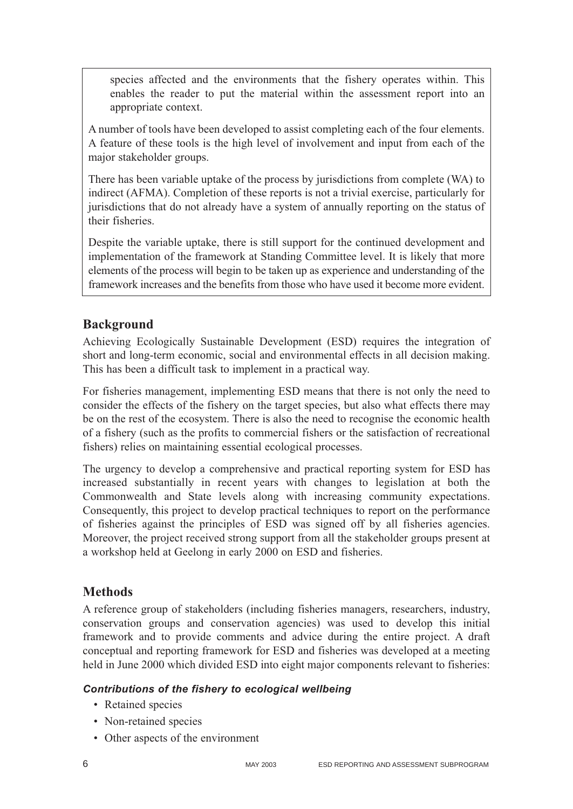species affected and the environments that the fishery operates within. This enables the reader to put the material within the assessment report into an appropriate context.

A number of tools have been developed to assist completing each of the four elements. A feature of these tools is the high level of involvement and input from each of the major stakeholder groups.

There has been variable uptake of the process by jurisdictions from complete (WA) to indirect (AFMA). Completion of these reports is not a trivial exercise, particularly for jurisdictions that do not already have a system of annually reporting on the status of their fisheries.

Despite the variable uptake, there is still support for the continued development and implementation of the framework at Standing Committee level. It is likely that more elements of the process will begin to be taken up as experience and understanding of the framework increases and the benefits from those who have used it become more evident.

# **Background**

Achieving Ecologically Sustainable Development (ESD) requires the integration of short and long-term economic, social and environmental effects in all decision making. This has been a difficult task to implement in a practical way.

For fisheries management, implementing ESD means that there is not only the need to consider the effects of the fishery on the target species, but also what effects there may be on the rest of the ecosystem. There is also the need to recognise the economic health of a fishery (such as the profits to commercial fishers or the satisfaction of recreational fishers) relies on maintaining essential ecological processes.

The urgency to develop a comprehensive and practical reporting system for ESD has increased substantially in recent years with changes to legislation at both the Commonwealth and State levels along with increasing community expectations. Consequently, this project to develop practical techniques to report on the performance of fisheries against the principles of ESD was signed off by all fisheries agencies. Moreover, the project received strong support from all the stakeholder groups present at a workshop held at Geelong in early 2000 on ESD and fisheries.

# **Methods**

A reference group of stakeholders (including fisheries managers, researchers, industry, conservation groups and conservation agencies) was used to develop this initial framework and to provide comments and advice during the entire project. A draft conceptual and reporting framework for ESD and fisheries was developed at a meeting held in June 2000 which divided ESD into eight major components relevant to fisheries:

## *Contributions of the fishery to ecological wellbeing*

- Retained species
- Non-retained species
- Other aspects of the environment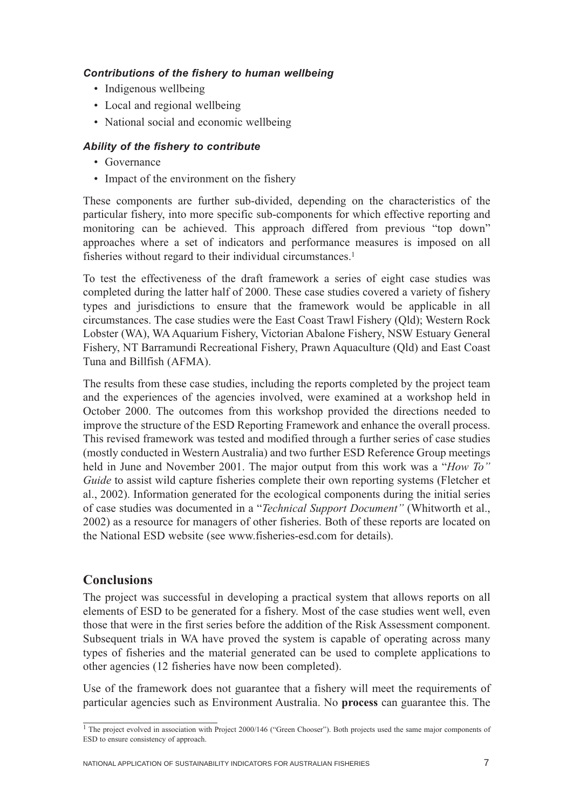#### *Contributions of the fishery to human wellbeing*

- Indigenous wellbeing
- Local and regional wellbeing
- National social and economic wellbeing

#### *Ability of the fishery to contribute*

- Governance
- Impact of the environment on the fishery

These components are further sub-divided, depending on the characteristics of the particular fishery, into more specific sub-components for which effective reporting and monitoring can be achieved. This approach differed from previous "top down" approaches where a set of indicators and performance measures is imposed on all fisheries without regard to their individual circumstances.1

To test the effectiveness of the draft framework a series of eight case studies was completed during the latter half of 2000. These case studies covered a variety of fishery types and jurisdictions to ensure that the framework would be applicable in all circumstances. The case studies were the East Coast Trawl Fishery (Qld); Western Rock Lobster (WA), WA Aquarium Fishery, Victorian Abalone Fishery, NSW Estuary General Fishery, NT Barramundi Recreational Fishery, Prawn Aquaculture (Qld) and East Coast Tuna and Billfish (AFMA).

The results from these case studies, including the reports completed by the project team and the experiences of the agencies involved, were examined at a workshop held in October 2000. The outcomes from this workshop provided the directions needed to improve the structure of the ESD Reporting Framework and enhance the overall process. This revised framework was tested and modified through a further series of case studies (mostly conducted in Western Australia) and two further ESD Reference Group meetings held in June and November 2001. The major output from this work was a "*How To" Guide* to assist wild capture fisheries complete their own reporting systems (Fletcher et al., 2002). Information generated for the ecological components during the initial series of case studies was documented in a "*Technical Support Document"* (Whitworth et al., 2002) as a resource for managers of other fisheries. Both of these reports are located on the National ESD website (see www.fisheries-esd.com for details).

## **Conclusions**

The project was successful in developing a practical system that allows reports on all elements of ESD to be generated for a fishery. Most of the case studies went well, even those that were in the first series before the addition of the Risk Assessment component. Subsequent trials in WA have proved the system is capable of operating across many types of fisheries and the material generated can be used to complete applications to other agencies (12 fisheries have now been completed).

Use of the framework does not guarantee that a fishery will meet the requirements of particular agencies such as Environment Australia. No **process** can guarantee this. The

<sup>&</sup>lt;sup>1</sup> The project evolved in association with Project 2000/146 ("Green Chooser"). Both projects used the same major components of ESD to ensure consistency of approach.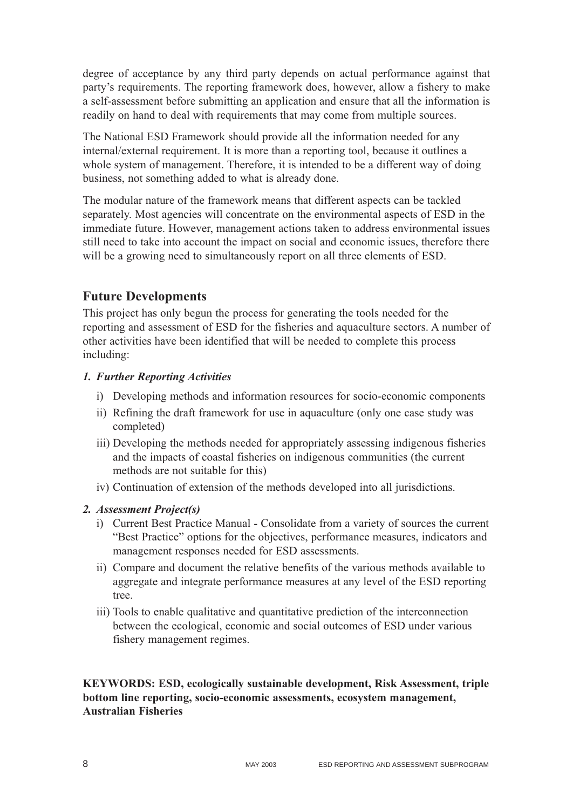degree of acceptance by any third party depends on actual performance against that party's requirements. The reporting framework does, however, allow a fishery to make a self-assessment before submitting an application and ensure that all the information is readily on hand to deal with requirements that may come from multiple sources.

The National ESD Framework should provide all the information needed for any internal/external requirement. It is more than a reporting tool, because it outlines a whole system of management. Therefore, it is intended to be a different way of doing business, not something added to what is already done.

The modular nature of the framework means that different aspects can be tackled separately. Most agencies will concentrate on the environmental aspects of ESD in the immediate future. However, management actions taken to address environmental issues still need to take into account the impact on social and economic issues, therefore there will be a growing need to simultaneously report on all three elements of ESD.

## **Future Developments**

This project has only begun the process for generating the tools needed for the reporting and assessment of ESD for the fisheries and aquaculture sectors. A number of other activities have been identified that will be needed to complete this process including:

#### *1. Further Reporting Activities*

- i) Developing methods and information resources for socio-economic components
- ii) Refining the draft framework for use in aquaculture (only one case study was completed)
- iii) Developing the methods needed for appropriately assessing indigenous fisheries and the impacts of coastal fisheries on indigenous communities (the current methods are not suitable for this)
- iv) Continuation of extension of the methods developed into all jurisdictions.

#### *2. Assessment Project(s)*

- i) Current Best Practice Manual Consolidate from a variety of sources the current "Best Practice" options for the objectives, performance measures, indicators and management responses needed for ESD assessments.
- ii) Compare and document the relative benefits of the various methods available to aggregate and integrate performance measures at any level of the ESD reporting tree.
- iii) Tools to enable qualitative and quantitative prediction of the interconnection between the ecological, economic and social outcomes of ESD under various fishery management regimes.

#### **KEYWORDS: ESD, ecologically sustainable development, Risk Assessment, triple bottom line reporting, socio-economic assessments, ecosystem management, Australian Fisheries**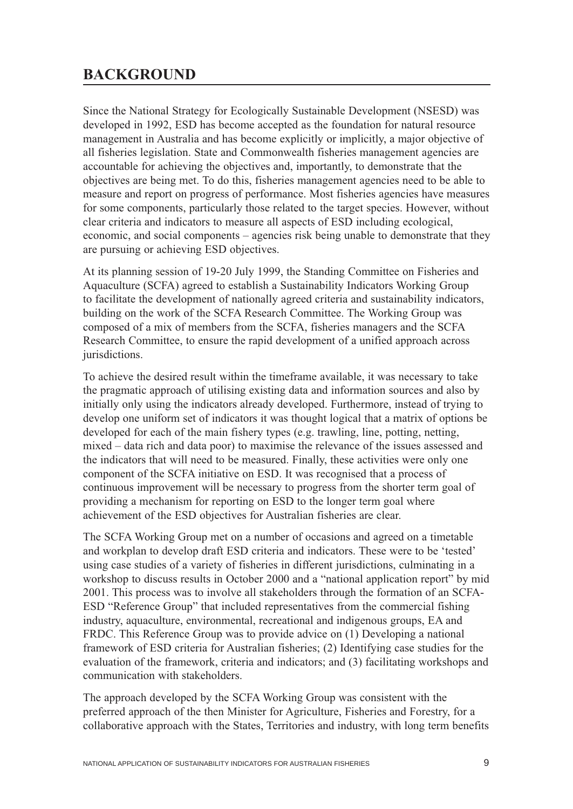# <span id="page-9-0"></span>**BACKGROUND**

Since the National Strategy for Ecologically Sustainable Development (NSESD) was developed in 1992, ESD has become accepted as the foundation for natural resource management in Australia and has become explicitly or implicitly, a major objective of all fisheries legislation. State and Commonwealth fisheries management agencies are accountable for achieving the objectives and, importantly, to demonstrate that the objectives are being met. To do this, fisheries management agencies need to be able to measure and report on progress of performance. Most fisheries agencies have measures for some components, particularly those related to the target species. However, without clear criteria and indicators to measure all aspects of ESD including ecological, economic, and social components – agencies risk being unable to demonstrate that they are pursuing or achieving ESD objectives.

At its planning session of 19-20 July 1999, the Standing Committee on Fisheries and Aquaculture (SCFA) agreed to establish a Sustainability Indicators Working Group to facilitate the development of nationally agreed criteria and sustainability indicators, building on the work of the SCFA Research Committee. The Working Group was composed of a mix of members from the SCFA, fisheries managers and the SCFA Research Committee, to ensure the rapid development of a unified approach across jurisdictions.

To achieve the desired result within the timeframe available, it was necessary to take the pragmatic approach of utilising existing data and information sources and also by initially only using the indicators already developed. Furthermore, instead of trying to develop one uniform set of indicators it was thought logical that a matrix of options be developed for each of the main fishery types (e.g. trawling, line, potting, netting, mixed – data rich and data poor) to maximise the relevance of the issues assessed and the indicators that will need to be measured. Finally, these activities were only one component of the SCFA initiative on ESD. It was recognised that a process of continuous improvement will be necessary to progress from the shorter term goal of providing a mechanism for reporting on ESD to the longer term goal where achievement of the ESD objectives for Australian fisheries are clear.

The SCFA Working Group met on a number of occasions and agreed on a timetable and workplan to develop draft ESD criteria and indicators. These were to be 'tested' using case studies of a variety of fisheries in different jurisdictions, culminating in a workshop to discuss results in October 2000 and a "national application report" by mid 2001. This process was to involve all stakeholders through the formation of an SCFA-ESD "Reference Group" that included representatives from the commercial fishing industry, aquaculture, environmental, recreational and indigenous groups, EA and FRDC. This Reference Group was to provide advice on (1) Developing a national framework of ESD criteria for Australian fisheries; (2) Identifying case studies for the evaluation of the framework, criteria and indicators; and (3) facilitating workshops and communication with stakeholders.

The approach developed by the SCFA Working Group was consistent with the preferred approach of the then Minister for Agriculture, Fisheries and Forestry, for a collaborative approach with the States, Territories and industry, with long term benefits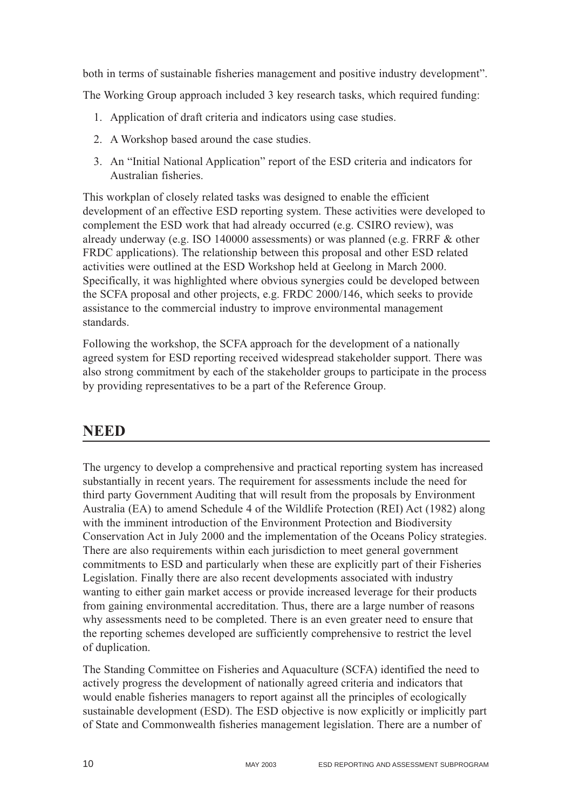<span id="page-10-0"></span>both in terms of sustainable fisheries management and positive industry development".

The Working Group approach included 3 key research tasks, which required funding:

- 1. Application of draft criteria and indicators using case studies.
- 2. A Workshop based around the case studies.
- 3. An "Initial National Application" report of the ESD criteria and indicators for Australian fisheries.

This workplan of closely related tasks was designed to enable the efficient development of an effective ESD reporting system. These activities were developed to complement the ESD work that had already occurred (e.g. CSIRO review), was already underway (e.g. ISO 140000 assessments) or was planned (e.g. FRRF & other FRDC applications). The relationship between this proposal and other ESD related activities were outlined at the ESD Workshop held at Geelong in March 2000. Specifically, it was highlighted where obvious synergies could be developed between the SCFA proposal and other projects, e.g. FRDC 2000/146, which seeks to provide assistance to the commercial industry to improve environmental management standards.

Following the workshop, the SCFA approach for the development of a nationally agreed system for ESD reporting received widespread stakeholder support. There was also strong commitment by each of the stakeholder groups to participate in the process by providing representatives to be a part of the Reference Group.

# **NEED**

The urgency to develop a comprehensive and practical reporting system has increased substantially in recent years. The requirement for assessments include the need for third party Government Auditing that will result from the proposals by Environment Australia (EA) to amend Schedule 4 of the Wildlife Protection (REI) Act (1982) along with the imminent introduction of the Environment Protection and Biodiversity Conservation Act in July 2000 and the implementation of the Oceans Policy strategies. There are also requirements within each jurisdiction to meet general government commitments to ESD and particularly when these are explicitly part of their Fisheries Legislation. Finally there are also recent developments associated with industry wanting to either gain market access or provide increased leverage for their products from gaining environmental accreditation. Thus, there are a large number of reasons why assessments need to be completed. There is an even greater need to ensure that the reporting schemes developed are sufficiently comprehensive to restrict the level of duplication.

The Standing Committee on Fisheries and Aquaculture (SCFA) identified the need to actively progress the development of nationally agreed criteria and indicators that would enable fisheries managers to report against all the principles of ecologically sustainable development (ESD). The ESD objective is now explicitly or implicitly part of State and Commonwealth fisheries management legislation. There are a number of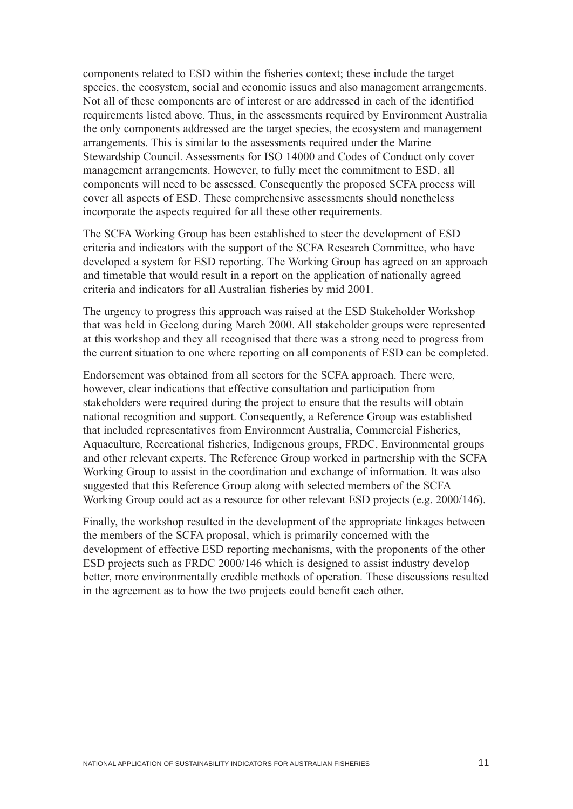components related to ESD within the fisheries context; these include the target species, the ecosystem, social and economic issues and also management arrangements. Not all of these components are of interest or are addressed in each of the identified requirements listed above. Thus, in the assessments required by Environment Australia the only components addressed are the target species, the ecosystem and management arrangements. This is similar to the assessments required under the Marine Stewardship Council. Assessments for ISO 14000 and Codes of Conduct only cover management arrangements. However, to fully meet the commitment to ESD, all components will need to be assessed. Consequently the proposed SCFA process will cover all aspects of ESD. These comprehensive assessments should nonetheless incorporate the aspects required for all these other requirements.

The SCFA Working Group has been established to steer the development of ESD criteria and indicators with the support of the SCFA Research Committee, who have developed a system for ESD reporting. The Working Group has agreed on an approach and timetable that would result in a report on the application of nationally agreed criteria and indicators for all Australian fisheries by mid 2001.

The urgency to progress this approach was raised at the ESD Stakeholder Workshop that was held in Geelong during March 2000. All stakeholder groups were represented at this workshop and they all recognised that there was a strong need to progress from the current situation to one where reporting on all components of ESD can be completed.

Endorsement was obtained from all sectors for the SCFA approach. There were, however, clear indications that effective consultation and participation from stakeholders were required during the project to ensure that the results will obtain national recognition and support. Consequently, a Reference Group was established that included representatives from Environment Australia, Commercial Fisheries, Aquaculture, Recreational fisheries, Indigenous groups, FRDC, Environmental groups and other relevant experts. The Reference Group worked in partnership with the SCFA Working Group to assist in the coordination and exchange of information. It was also suggested that this Reference Group along with selected members of the SCFA Working Group could act as a resource for other relevant ESD projects (e.g. 2000/146).

Finally, the workshop resulted in the development of the appropriate linkages between the members of the SCFA proposal, which is primarily concerned with the development of effective ESD reporting mechanisms, with the proponents of the other ESD projects such as FRDC 2000/146 which is designed to assist industry develop better, more environmentally credible methods of operation. These discussions resulted in the agreement as to how the two projects could benefit each other.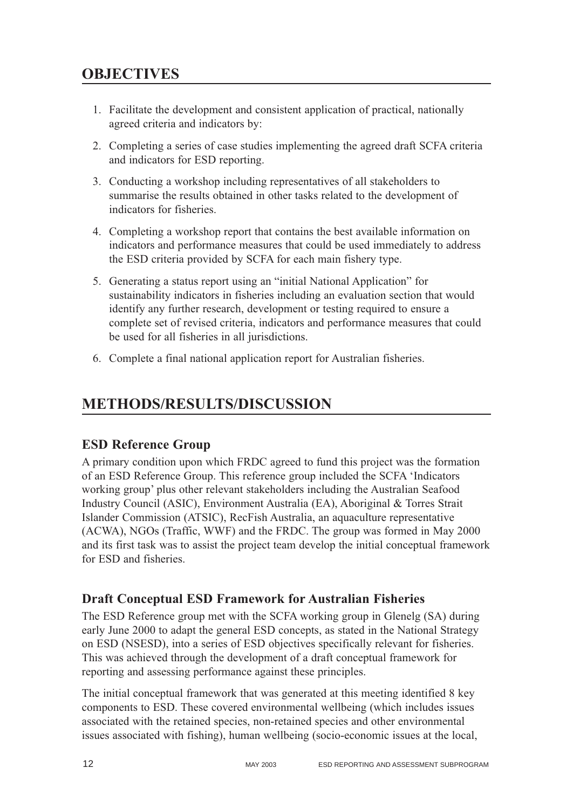# <span id="page-12-0"></span>**OBJECTIVES**

- 1. Facilitate the development and consistent application of practical, nationally agreed criteria and indicators by:
- 2. Completing a series of case studies implementing the agreed draft SCFA criteria and indicators for ESD reporting.
- 3. Conducting a workshop including representatives of all stakeholders to summarise the results obtained in other tasks related to the development of indicators for fisheries.
- 4. Completing a workshop report that contains the best available information on indicators and performance measures that could be used immediately to address the ESD criteria provided by SCFA for each main fishery type.
- 5. Generating a status report using an "initial National Application" for sustainability indicators in fisheries including an evaluation section that would identify any further research, development or testing required to ensure a complete set of revised criteria, indicators and performance measures that could be used for all fisheries in all jurisdictions.
- 6. Complete a final national application report for Australian fisheries.

# **METHODS/RESULTS/DISCUSSION**

## **ESD Reference Group**

A primary condition upon which FRDC agreed to fund this project was the formation of an ESD Reference Group. This reference group included the SCFA 'Indicators working group' plus other relevant stakeholders including the Australian Seafood Industry Council (ASIC), Environment Australia (EA), Aboriginal & Torres Strait Islander Commission (ATSIC), RecFish Australia, an aquaculture representative (ACWA), NGOs (Traffic, WWF) and the FRDC. The group was formed in May 2000 and its first task was to assist the project team develop the initial conceptual framework for ESD and fisheries.

## **Draft Conceptual ESD Framework for Australian Fisheries**

The ESD Reference group met with the SCFA working group in Glenelg (SA) during early June 2000 to adapt the general ESD concepts, as stated in the National Strategy on ESD (NSESD), into a series of ESD objectives specifically relevant for fisheries. This was achieved through the development of a draft conceptual framework for reporting and assessing performance against these principles.

The initial conceptual framework that was generated at this meeting identified 8 key components to ESD. These covered environmental wellbeing (which includes issues associated with the retained species, non-retained species and other environmental issues associated with fishing), human wellbeing (socio-economic issues at the local,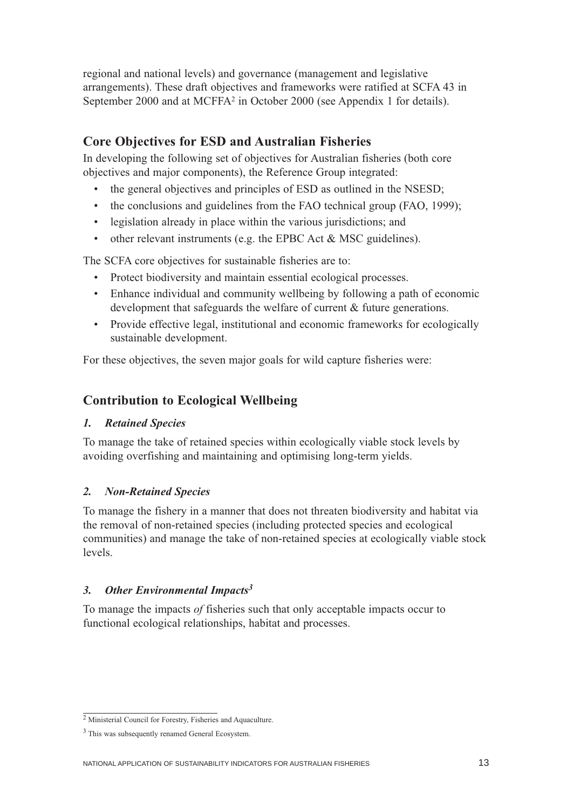<span id="page-13-0"></span>regional and national levels) and governance (management and legislative arrangements). These draft objectives and frameworks were ratified at SCFA 43 in September 2000 and at MCFFA2 in October 2000 (see Appendix 1 for details).

# **Core Objectives for ESD and Australian Fisheries**

In developing the following set of objectives for Australian fisheries (both core objectives and major components), the Reference Group integrated:

- the general objectives and principles of ESD as outlined in the NSESD;
- the conclusions and guidelines from the FAO technical group (FAO, 1999);
- legislation already in place within the various jurisdictions; and
- other relevant instruments (e.g. the EPBC Act & MSC guidelines).

The SCFA core objectives for sustainable fisheries are to:

- Protect biodiversity and maintain essential ecological processes.
- Enhance individual and community wellbeing by following a path of economic development that safeguards the welfare of current & future generations.
- Provide effective legal, institutional and economic frameworks for ecologically sustainable development.

For these objectives, the seven major goals for wild capture fisheries were:

# **Contribution to Ecological Wellbeing**

#### *1. Retained Species*

To manage the take of retained species within ecologically viable stock levels by avoiding overfishing and maintaining and optimising long-term yields.

## *2. Non-Retained Species*

To manage the fishery in a manner that does not threaten biodiversity and habitat via the removal of non-retained species (including protected species and ecological communities) and manage the take of non-retained species at ecologically viable stock levels.

## *3. Other Environmental Impacts3*

To manage the impacts *of* fisheries such that only acceptable impacts occur to functional ecological relationships, habitat and processes.

<sup>2</sup> Ministerial Council for Forestry, Fisheries and Aquaculture.

<sup>&</sup>lt;sup>3</sup> This was subsequently renamed General Ecosystem.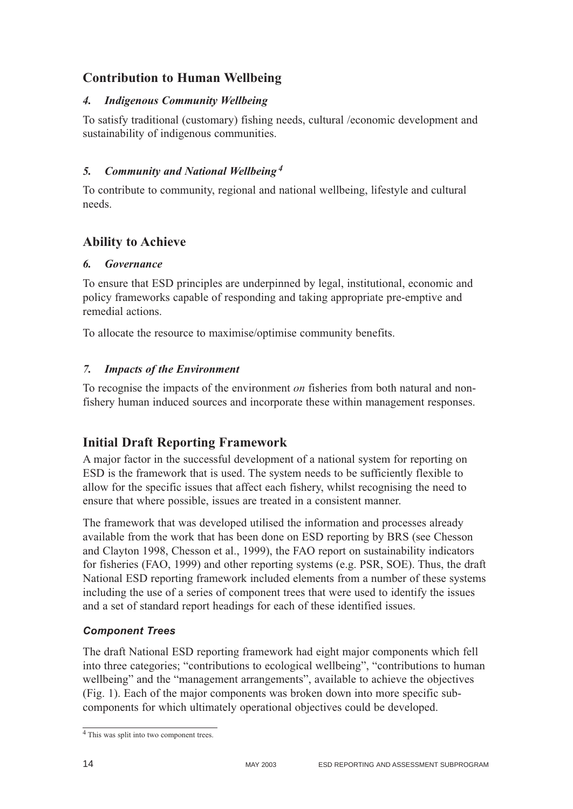# <span id="page-14-0"></span>**Contribution to Human Wellbeing**

#### *4. Indigenous Community Wellbeing*

To satisfy traditional (customary) fishing needs, cultural /economic development and sustainability of indigenous communities.

### *5. Community and National Wellbeing <sup>4</sup>*

To contribute to community, regional and national wellbeing, lifestyle and cultural needs.

# **Ability to Achieve**

#### *6. Governance*

To ensure that ESD principles are underpinned by legal, institutional, economic and policy frameworks capable of responding and taking appropriate pre-emptive and remedial actions.

To allocate the resource to maximise/optimise community benefits.

## *7. Impacts of the Environment*

To recognise the impacts of the environment *on* fisheries from both natural and nonfishery human induced sources and incorporate these within management responses.

# **Initial Draft Reporting Framework**

A major factor in the successful development of a national system for reporting on ESD is the framework that is used. The system needs to be sufficiently flexible to allow for the specific issues that affect each fishery, whilst recognising the need to ensure that where possible, issues are treated in a consistent manner.

The framework that was developed utilised the information and processes already available from the work that has been done on ESD reporting by BRS (see Chesson and Clayton 1998, Chesson et al., 1999), the FAO report on sustainability indicators for fisheries (FAO, 1999) and other reporting systems (e.g. PSR, SOE). Thus, the draft National ESD reporting framework included elements from a number of these systems including the use of a series of component trees that were used to identify the issues and a set of standard report headings for each of these identified issues.

## *Component Trees*

The draft National ESD reporting framework had eight major components which fell into three categories; "contributions to ecological wellbeing", "contributions to human wellbeing" and the "management arrangements", available to achieve the objectives (Fig. 1). Each of the major components was broken down into more specific subcomponents for which ultimately operational objectives could be developed.

<sup>4</sup> This was split into two component trees.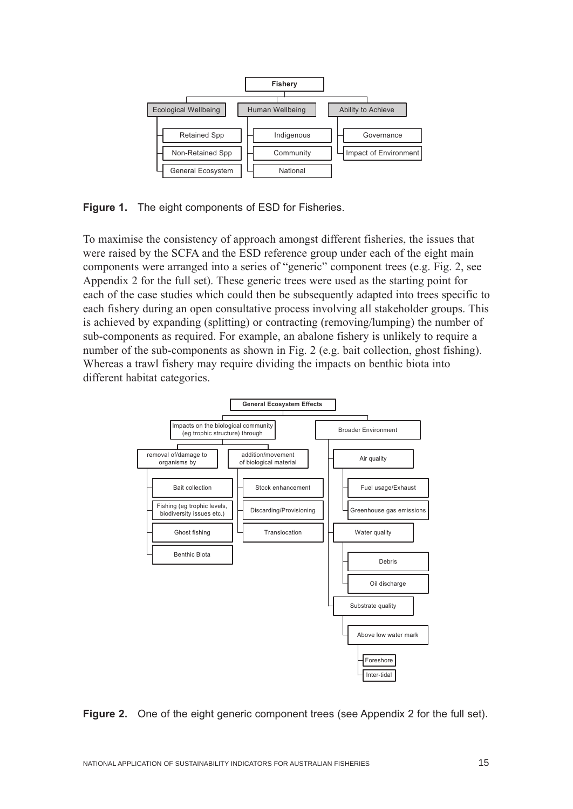

**Figure 1.** The eight components of ESD for Fisheries.

To maximise the consistency of approach amongst different fisheries, the issues that were raised by the SCFA and the ESD reference group under each of the eight main components were arranged into a series of "generic" component trees (e.g. Fig. 2, see Appendix 2 for the full set). These generic trees were used as the starting point for each of the case studies which could then be subsequently adapted into trees specific to each fishery during an open consultative process involving all stakeholder groups. This is achieved by expanding (splitting) or contracting (removing/lumping) the number of sub-components as required. For example, an abalone fishery is unlikely to require a number of the sub-components as shown in Fig. 2 (e.g. bait collection, ghost fishing). Whereas a trawl fishery may require dividing the impacts on benthic biota into different habitat categories.



**Figure 2.** One of the eight generic component trees (see Appendix 2 for the full set).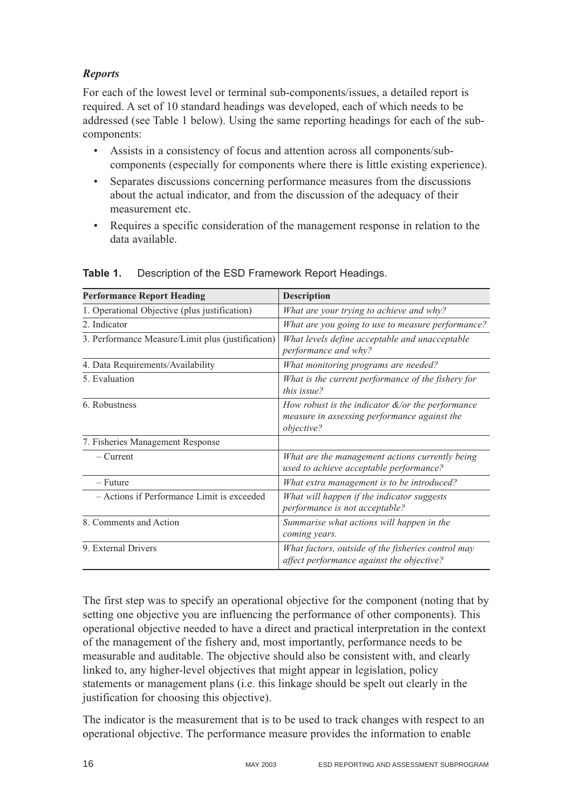## *Reports*

For each of the lowest level or terminal sub-components/issues, a detailed report is required. A set of 10 standard headings was developed, each of which needs to be addressed (see Table 1 below). Using the same reporting headings for each of the subcomponents:

- Assists in a consistency of focus and attention across all components/subcomponents (especially for components where there is little existing experience).
- Separates discussions concerning performance measures from the discussions about the actual indicator, and from the discussion of the adequacy of their measurement etc.
- Requires a specific consideration of the management response in relation to the data available.

| <b>Performance Report Heading</b>                 | <b>Description</b>                                                                                                 |
|---------------------------------------------------|--------------------------------------------------------------------------------------------------------------------|
| 1. Operational Objective (plus justification)     | What are your trying to achieve and why?                                                                           |
| 2. Indicator                                      | What are you going to use to measure performance?                                                                  |
| 3. Performance Measure/Limit plus (justification) | What levels define acceptable and unacceptable<br>performance and why?                                             |
| 4. Data Requirements/Availability                 | What monitoring programs are needed?                                                                               |
| 5. Evaluation                                     | What is the current performance of the fishery for<br>this issue?                                                  |
| 6. Robustness                                     | How robust is the indicator $\&$ /or the performance<br>measure in assessing performance against the<br>objective? |
| 7. Fisheries Management Response                  |                                                                                                                    |
| $-$ Current                                       | What are the management actions currently being<br>used to achieve acceptable performance?                         |
| $-$ Future                                        | What extra management is to be introduced?                                                                         |
| - Actions if Performance Limit is exceeded        | What will happen if the indicator suggests<br>performance is not acceptable?                                       |
| 8. Comments and Action                            | Summarise what actions will happen in the<br>coming years.                                                         |
| 9. External Drivers                               | What factors, outside of the fisheries control may<br>affect performance against the objective?                    |

#### **Table 1.** Description of the ESD Framework Report Headings.

The first step was to specify an operational objective for the component (noting that by setting one objective you are influencing the performance of other components). This operational objective needed to have a direct and practical interpretation in the context of the management of the fishery and, most importantly, performance needs to be measurable and auditable. The objective should also be consistent with, and clearly linked to, any higher-level objectives that might appear in legislation, policy statements or management plans (i.e. this linkage should be spelt out clearly in the justification for choosing this objective).

The indicator is the measurement that is to be used to track changes with respect to an operational objective. The performance measure provides the information to enable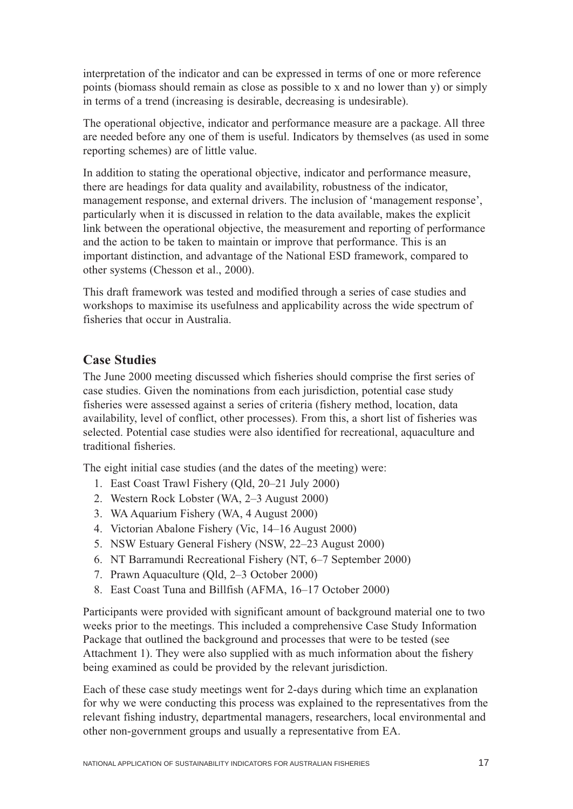<span id="page-17-0"></span>interpretation of the indicator and can be expressed in terms of one or more reference points (biomass should remain as close as possible to x and no lower than y) or simply in terms of a trend (increasing is desirable, decreasing is undesirable).

The operational objective, indicator and performance measure are a package. All three are needed before any one of them is useful. Indicators by themselves (as used in some reporting schemes) are of little value.

In addition to stating the operational objective, indicator and performance measure, there are headings for data quality and availability, robustness of the indicator, management response, and external drivers. The inclusion of 'management response', particularly when it is discussed in relation to the data available, makes the explicit link between the operational objective, the measurement and reporting of performance and the action to be taken to maintain or improve that performance. This is an important distinction, and advantage of the National ESD framework, compared to other systems (Chesson et al., 2000).

This draft framework was tested and modified through a series of case studies and workshops to maximise its usefulness and applicability across the wide spectrum of fisheries that occur in Australia.

## **Case Studies**

The June 2000 meeting discussed which fisheries should comprise the first series of case studies. Given the nominations from each jurisdiction, potential case study fisheries were assessed against a series of criteria (fishery method, location, data availability, level of conflict, other processes). From this, a short list of fisheries was selected. Potential case studies were also identified for recreational, aquaculture and traditional fisheries.

The eight initial case studies (and the dates of the meeting) were:

- 1. East Coast Trawl Fishery (Qld, 20–21 July 2000)
- 2. Western Rock Lobster (WA, 2–3 August 2000)
- 3. WA Aquarium Fishery (WA, 4 August 2000)
- 4. Victorian Abalone Fishery (Vic, 14–16 August 2000)
- 5. NSW Estuary General Fishery (NSW, 22–23 August 2000)
- 6. NT Barramundi Recreational Fishery (NT, 6–7 September 2000)
- 7. Prawn Aquaculture (Qld, 2–3 October 2000)
- 8. East Coast Tuna and Billfish (AFMA, 16–17 October 2000)

Participants were provided with significant amount of background material one to two weeks prior to the meetings. This included a comprehensive Case Study Information Package that outlined the background and processes that were to be tested (see Attachment 1). They were also supplied with as much information about the fishery being examined as could be provided by the relevant jurisdiction.

Each of these case study meetings went for 2-days during which time an explanation for why we were conducting this process was explained to the representatives from the relevant fishing industry, departmental managers, researchers, local environmental and other non-government groups and usually a representative from EA.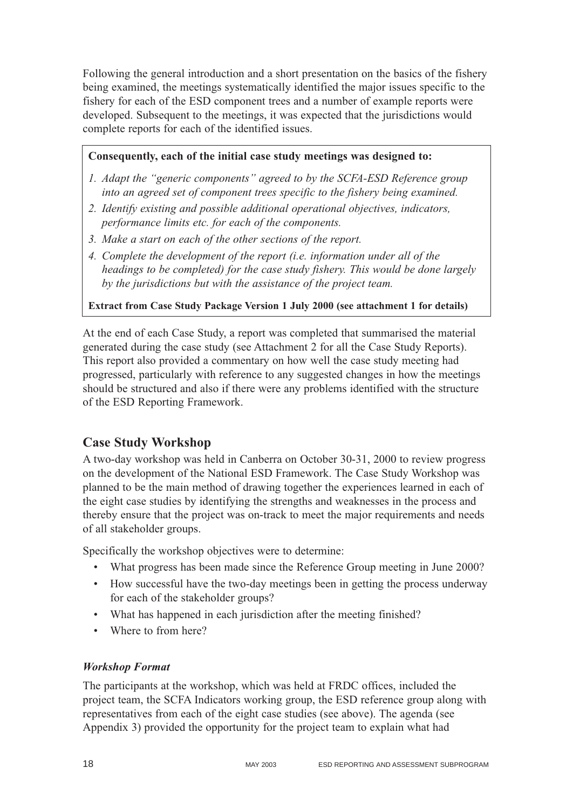<span id="page-18-0"></span>Following the general introduction and a short presentation on the basics of the fishery being examined, the meetings systematically identified the major issues specific to the fishery for each of the ESD component trees and a number of example reports were developed. Subsequent to the meetings, it was expected that the jurisdictions would complete reports for each of the identified issues.

#### **Consequently, each of the initial case study meetings was designed to:**

- *1. Adapt the "generic components" agreed to by the SCFA-ESD Reference group into an agreed set of component trees specific to the fishery being examined.*
- *2. Identify existing and possible additional operational objectives, indicators, performance limits etc. for each of the components.*
- *3. Make a start on each of the other sections of the report.*
- *4. Complete the development of the report (i.e. information under all of the headings to be completed) for the case study fishery. This would be done largely by the jurisdictions but with the assistance of the project team.*

#### **Extract from Case Study Package Version 1 July 2000 (see attachment 1 for details)**

At the end of each Case Study, a report was completed that summarised the material generated during the case study (see Attachment 2 for all the Case Study Reports). This report also provided a commentary on how well the case study meeting had progressed, particularly with reference to any suggested changes in how the meetings should be structured and also if there were any problems identified with the structure of the ESD Reporting Framework.

## **Case Study Workshop**

A two-day workshop was held in Canberra on October 30-31, 2000 to review progress on the development of the National ESD Framework. The Case Study Workshop was planned to be the main method of drawing together the experiences learned in each of the eight case studies by identifying the strengths and weaknesses in the process and thereby ensure that the project was on-track to meet the major requirements and needs of all stakeholder groups.

Specifically the workshop objectives were to determine:

- What progress has been made since the Reference Group meeting in June 2000?
- How successful have the two-day meetings been in getting the process underway for each of the stakeholder groups?
- What has happened in each jurisdiction after the meeting finished?
- Where to from here?

#### *Workshop Format*

The participants at the workshop, which was held at FRDC offices, included the project team, the SCFA Indicators working group, the ESD reference group along with representatives from each of the eight case studies (see above). The agenda (see Appendix 3) provided the opportunity for the project team to explain what had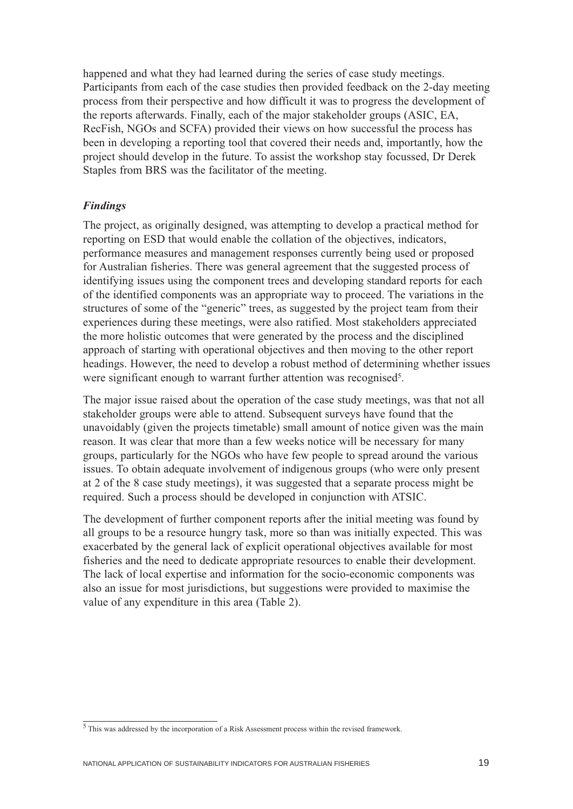happened and what they had learned during the series of case study meetings. Participants from each of the case studies then provided feedback on the 2-day meeting process from their perspective and how difficult it was to progress the development of the reports afterwards. Finally, each of the major stakeholder groups (ASIC, EA, RecFish, NGOs and SCFA) provided their views on how successful the process has been in developing a reporting tool that covered their needs and, importantly, how the project should develop in the future. To assist the workshop stay focussed, Dr Derek Staples from BRS was the facilitator of the meeting.

#### *Findings*

The project, as originally designed, was attempting to develop a practical method for reporting on ESD that would enable the collation of the objectives, indicators, performance measures and management responses currently being used or proposed for Australian fisheries. There was general agreement that the suggested process of identifying issues using the component trees and developing standard reports for each of the identified components was an appropriate way to proceed. The variations in the structures of some of the "generic" trees, as suggested by the project team from their experiences during these meetings, were also ratified. Most stakeholders appreciated the more holistic outcomes that were generated by the process and the disciplined approach of starting with operational objectives and then moving to the other report headings. However, the need to develop a robust method of determining whether issues were significant enough to warrant further attention was recognised<sup>5</sup>.

The major issue raised about the operation of the case study meetings, was that not all stakeholder groups were able to attend. Subsequent surveys have found that the unavoidably (given the projects timetable) small amount of notice given was the main reason. It was clear that more than a few weeks notice will be necessary for many groups, particularly for the NGOs who have few people to spread around the various issues. To obtain adequate involvement of indigenous groups (who were only present at 2 of the 8 case study meetings), it was suggested that a separate process might be required. Such a process should be developed in conjunction with ATSIC.

The development of further component reports after the initial meeting was found by all groups to be a resource hungry task, more so than was initially expected. This was exacerbated by the general lack of explicit operational objectives available for most fisheries and the need to dedicate appropriate resources to enable their development. The lack of local expertise and information for the socio-economic components was also an issue for most jurisdictions, but suggestions were provided to maximise the value of any expenditure in this area (Table 2).

<sup>5</sup> This was addressed by the incorporation of a Risk Assessment process within the revised framework.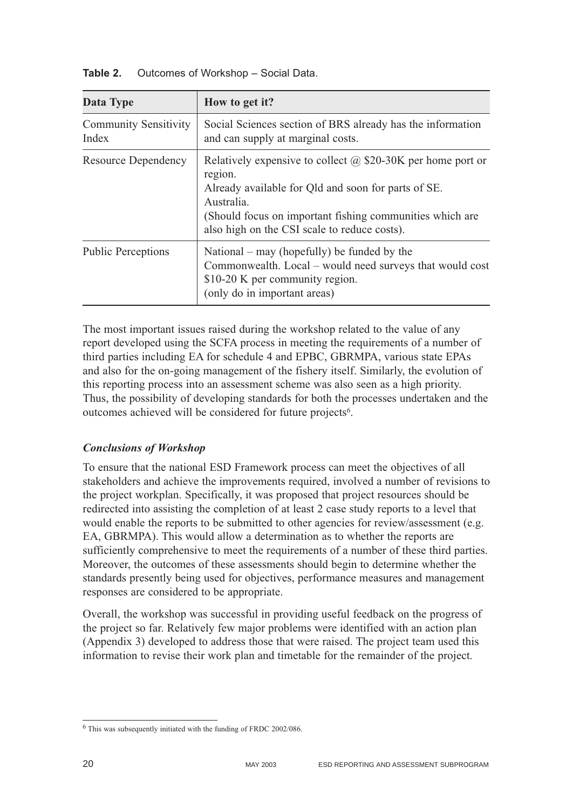| Data Type                             | How to get it?                                                                                                                                                                                                                                                 |
|---------------------------------------|----------------------------------------------------------------------------------------------------------------------------------------------------------------------------------------------------------------------------------------------------------------|
| <b>Community Sensitivity</b><br>Index | Social Sciences section of BRS already has the information<br>and can supply at marginal costs.                                                                                                                                                                |
| Resource Dependency                   | Relatively expensive to collect $\omega$ \$20-30K per home port or<br>region.<br>Already available for Qld and soon for parts of SE.<br>Australia.<br>(Should focus on important fishing communities which are<br>also high on the CSI scale to reduce costs). |
| <b>Public Perceptions</b>             | National – may (hopefully) be funded by the<br>Commonwealth. Local – would need surveys that would cost<br>\$10-20 K per community region.<br>(only do in important areas)                                                                                     |

**Table 2.** Outcomes of Workshop – Social Data.

The most important issues raised during the workshop related to the value of any report developed using the SCFA process in meeting the requirements of a number of third parties including EA for schedule 4 and EPBC, GBRMPA, various state EPAs and also for the on-going management of the fishery itself. Similarly, the evolution of this reporting process into an assessment scheme was also seen as a high priority. Thus, the possibility of developing standards for both the processes undertaken and the outcomes achieved will be considered for future projects<sup>6</sup>.

#### *Conclusions of Workshop*

To ensure that the national ESD Framework process can meet the objectives of all stakeholders and achieve the improvements required, involved a number of revisions to the project workplan. Specifically, it was proposed that project resources should be redirected into assisting the completion of at least 2 case study reports to a level that would enable the reports to be submitted to other agencies for review/assessment (e.g. EA, GBRMPA). This would allow a determination as to whether the reports are sufficiently comprehensive to meet the requirements of a number of these third parties. Moreover, the outcomes of these assessments should begin to determine whether the standards presently being used for objectives, performance measures and management responses are considered to be appropriate.

Overall, the workshop was successful in providing useful feedback on the progress of the project so far. Relatively few major problems were identified with an action plan (Appendix 3) developed to address those that were raised. The project team used this information to revise their work plan and timetable for the remainder of the project.

<sup>6</sup> This was subsequently initiated with the funding of FRDC 2002/086.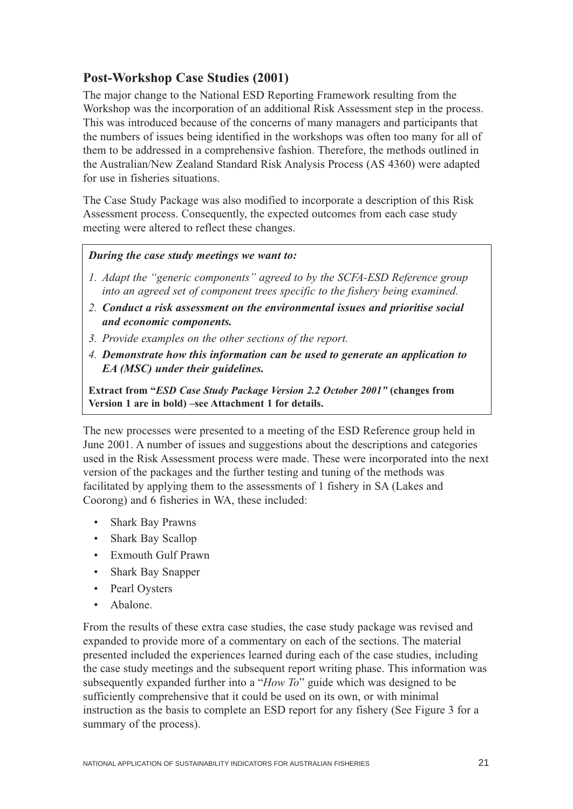# <span id="page-21-0"></span>**Post-Workshop Case Studies (2001)**

The major change to the National ESD Reporting Framework resulting from the Workshop was the incorporation of an additional Risk Assessment step in the process. This was introduced because of the concerns of many managers and participants that the numbers of issues being identified in the workshops was often too many for all of them to be addressed in a comprehensive fashion. Therefore, the methods outlined in the Australian/New Zealand Standard Risk Analysis Process (AS 4360) were adapted for use in fisheries situations.

The Case Study Package was also modified to incorporate a description of this Risk Assessment process. Consequently, the expected outcomes from each case study meeting were altered to reflect these changes.

#### *During the case study meetings we want to:*

- *1. Adapt the "generic components" agreed to by the SCFA-ESD Reference group into an agreed set of component trees specific to the fishery being examined.*
- *2. Conduct a risk assessment on the environmental issues and prioritise social and economic components.*
- *3. Provide examples on the other sections of the report.*
- *4. Demonstrate how this information can be used to generate an application to EA (MSC) under their guidelines.*

**Extract from "***ESD Case Study Package Version 2.2 October 2001"* **(changes from Version 1 are in bold) –see Attachment 1 for details.**

The new processes were presented to a meeting of the ESD Reference group held in June 2001. A number of issues and suggestions about the descriptions and categories used in the Risk Assessment process were made. These were incorporated into the next version of the packages and the further testing and tuning of the methods was facilitated by applying them to the assessments of 1 fishery in SA (Lakes and Coorong) and 6 fisheries in WA, these included:

- Shark Bay Prawns
- Shark Bay Scallop
- Exmouth Gulf Prawn
- Shark Bay Snapper
- Pearl Oysters
- Abalone.

From the results of these extra case studies, the case study package was revised and expanded to provide more of a commentary on each of the sections. The material presented included the experiences learned during each of the case studies, including the case study meetings and the subsequent report writing phase. This information was subsequently expanded further into a "*How To*" guide which was designed to be sufficiently comprehensive that it could be used on its own, or with minimal instruction as the basis to complete an ESD report for any fishery (See Figure 3 for a summary of the process).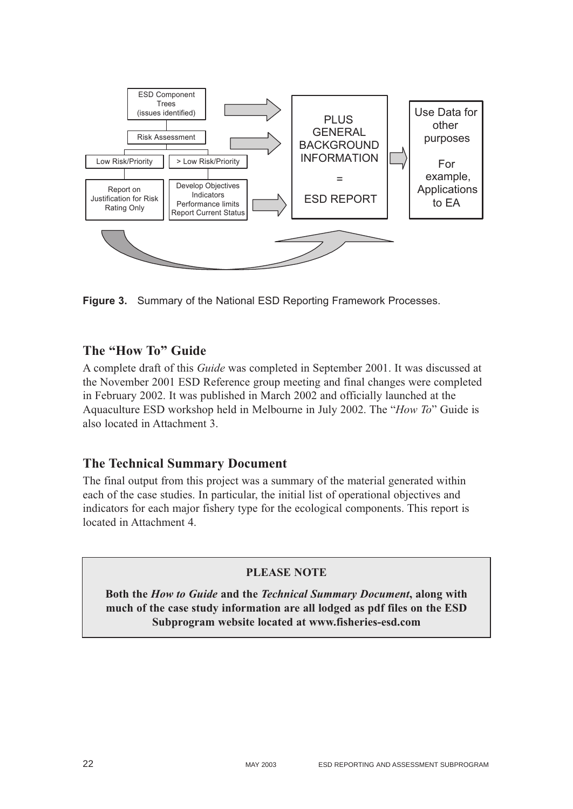<span id="page-22-0"></span>

**Figure 3.** Summary of the National ESD Reporting Framework Processes.

## **The "How To" Guide**

A complete draft of this *Guide* was completed in September 2001. It was discussed at the November 2001 ESD Reference group meeting and final changes were completed in February 2002. It was published in March 2002 and officially launched at the Aquaculture ESD workshop held in Melbourne in July 2002. The "*How To*" Guide is also located in Attachment 3.

## **The Technical Summary Document**

The final output from this project was a summary of the material generated within each of the case studies. In particular, the initial list of operational objectives and indicators for each major fishery type for the ecological components. This report is located in Attachment 4.

#### **PLEASE NOTE**

**Both the** *How to Guide* **and the** *Technical Summary Document***, along with much of the case study information are all lodged as pdf files on the ESD Subprogram website located at www.fisheries-esd.com**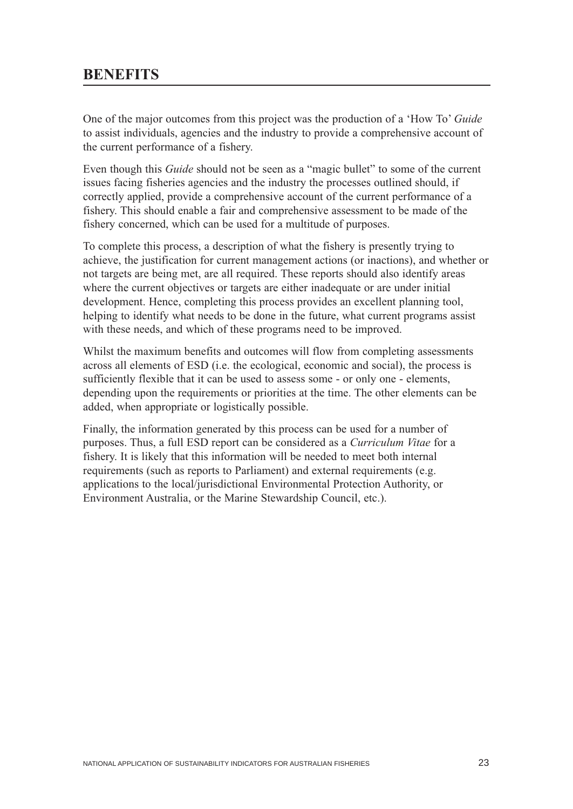# <span id="page-23-0"></span>**BENEFITS**

One of the major outcomes from this project was the production of a 'How To' *Guide* to assist individuals, agencies and the industry to provide a comprehensive account of the current performance of a fishery.

Even though this *Guide* should not be seen as a "magic bullet" to some of the current issues facing fisheries agencies and the industry the processes outlined should, if correctly applied, provide a comprehensive account of the current performance of a fishery. This should enable a fair and comprehensive assessment to be made of the fishery concerned, which can be used for a multitude of purposes.

To complete this process, a description of what the fishery is presently trying to achieve, the justification for current management actions (or inactions), and whether or not targets are being met, are all required. These reports should also identify areas where the current objectives or targets are either inadequate or are under initial development. Hence, completing this process provides an excellent planning tool, helping to identify what needs to be done in the future, what current programs assist with these needs, and which of these programs need to be improved.

Whilst the maximum benefits and outcomes will flow from completing assessments across all elements of ESD (i.e. the ecological, economic and social), the process is sufficiently flexible that it can be used to assess some - or only one - elements, depending upon the requirements or priorities at the time. The other elements can be added, when appropriate or logistically possible.

Finally, the information generated by this process can be used for a number of purposes. Thus, a full ESD report can be considered as a *Curriculum Vitae* for a fishery. It is likely that this information will be needed to meet both internal requirements (such as reports to Parliament) and external requirements (e.g. applications to the local/jurisdictional Environmental Protection Authority, or Environment Australia, or the Marine Stewardship Council, etc.).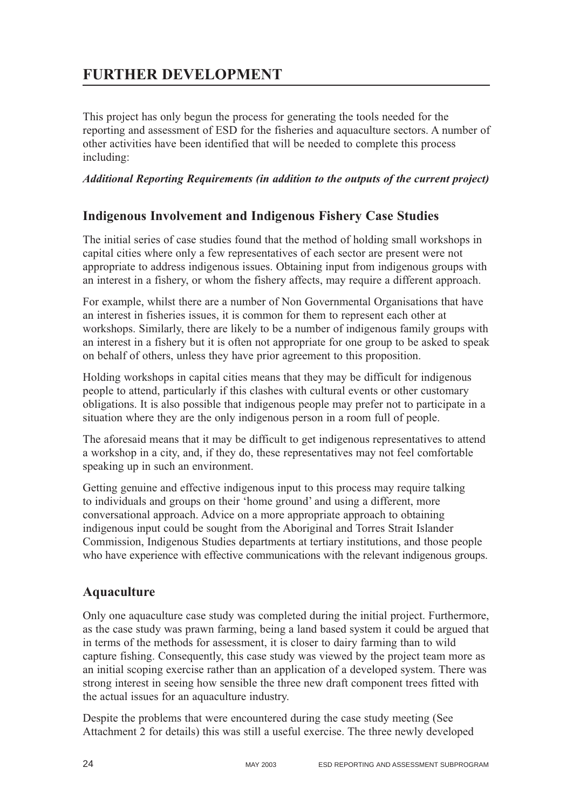# <span id="page-24-0"></span>**FURTHER DEVELOPMENT**

This project has only begun the process for generating the tools needed for the reporting and assessment of ESD for the fisheries and aquaculture sectors. A number of other activities have been identified that will be needed to complete this process including:

#### *Additional Reporting Requirements (in addition to the outputs of the current project)*

## **Indigenous Involvement and Indigenous Fishery Case Studies**

The initial series of case studies found that the method of holding small workshops in capital cities where only a few representatives of each sector are present were not appropriate to address indigenous issues. Obtaining input from indigenous groups with an interest in a fishery, or whom the fishery affects, may require a different approach.

For example, whilst there are a number of Non Governmental Organisations that have an interest in fisheries issues, it is common for them to represent each other at workshops. Similarly, there are likely to be a number of indigenous family groups with an interest in a fishery but it is often not appropriate for one group to be asked to speak on behalf of others, unless they have prior agreement to this proposition.

Holding workshops in capital cities means that they may be difficult for indigenous people to attend, particularly if this clashes with cultural events or other customary obligations. It is also possible that indigenous people may prefer not to participate in a situation where they are the only indigenous person in a room full of people.

The aforesaid means that it may be difficult to get indigenous representatives to attend a workshop in a city, and, if they do, these representatives may not feel comfortable speaking up in such an environment.

Getting genuine and effective indigenous input to this process may require talking to individuals and groups on their 'home ground' and using a different, more conversational approach. Advice on a more appropriate approach to obtaining indigenous input could be sought from the Aboriginal and Torres Strait Islander Commission, Indigenous Studies departments at tertiary institutions, and those people who have experience with effective communications with the relevant indigenous groups.

## **Aquaculture**

Only one aquaculture case study was completed during the initial project. Furthermore, as the case study was prawn farming, being a land based system it could be argued that in terms of the methods for assessment, it is closer to dairy farming than to wild capture fishing. Consequently, this case study was viewed by the project team more as an initial scoping exercise rather than an application of a developed system. There was strong interest in seeing how sensible the three new draft component trees fitted with the actual issues for an aquaculture industry.

Despite the problems that were encountered during the case study meeting (See Attachment 2 for details) this was still a useful exercise. The three newly developed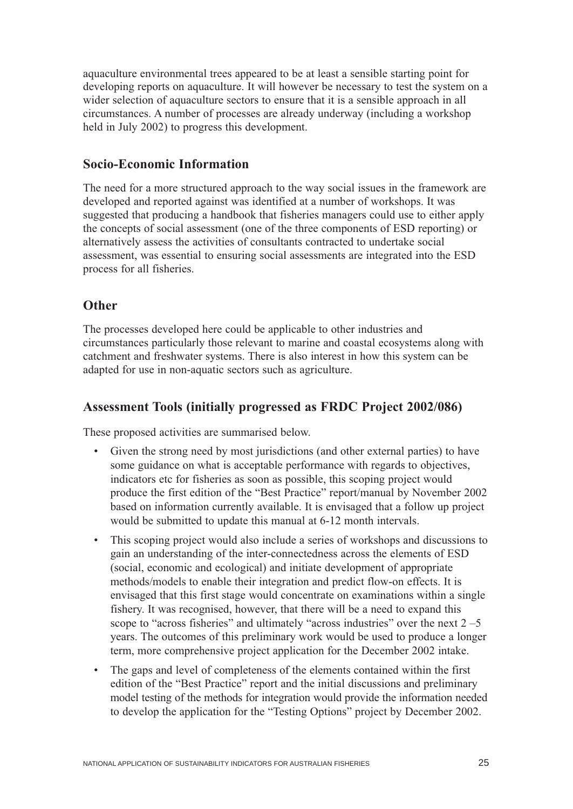aquaculture environmental trees appeared to be at least a sensible starting point for developing reports on aquaculture. It will however be necessary to test the system on a wider selection of aquaculture sectors to ensure that it is a sensible approach in all circumstances. A number of processes are already underway (including a workshop held in July 2002) to progress this development.

## **Socio-Economic Information**

The need for a more structured approach to the way social issues in the framework are developed and reported against was identified at a number of workshops. It was suggested that producing a handbook that fisheries managers could use to either apply the concepts of social assessment (one of the three components of ESD reporting) or alternatively assess the activities of consultants contracted to undertake social assessment, was essential to ensuring social assessments are integrated into the ESD process for all fisheries.

## **Other**

The processes developed here could be applicable to other industries and circumstances particularly those relevant to marine and coastal ecosystems along with catchment and freshwater systems. There is also interest in how this system can be adapted for use in non-aquatic sectors such as agriculture.

### **Assessment Tools (initially progressed as FRDC Project 2002/086)**

These proposed activities are summarised below.

- Given the strong need by most jurisdictions (and other external parties) to have some guidance on what is acceptable performance with regards to objectives, indicators etc for fisheries as soon as possible, this scoping project would produce the first edition of the "Best Practice" report/manual by November 2002 based on information currently available. It is envisaged that a follow up project would be submitted to update this manual at 6-12 month intervals.
- This scoping project would also include a series of workshops and discussions to gain an understanding of the inter-connectedness across the elements of ESD (social, economic and ecological) and initiate development of appropriate methods/models to enable their integration and predict flow-on effects. It is envisaged that this first stage would concentrate on examinations within a single fishery. It was recognised, however, that there will be a need to expand this scope to "across fisheries" and ultimately "across industries" over the next  $2 - 5$ years. The outcomes of this preliminary work would be used to produce a longer term, more comprehensive project application for the December 2002 intake.
- The gaps and level of completeness of the elements contained within the first edition of the "Best Practice" report and the initial discussions and preliminary model testing of the methods for integration would provide the information needed to develop the application for the "Testing Options" project by December 2002.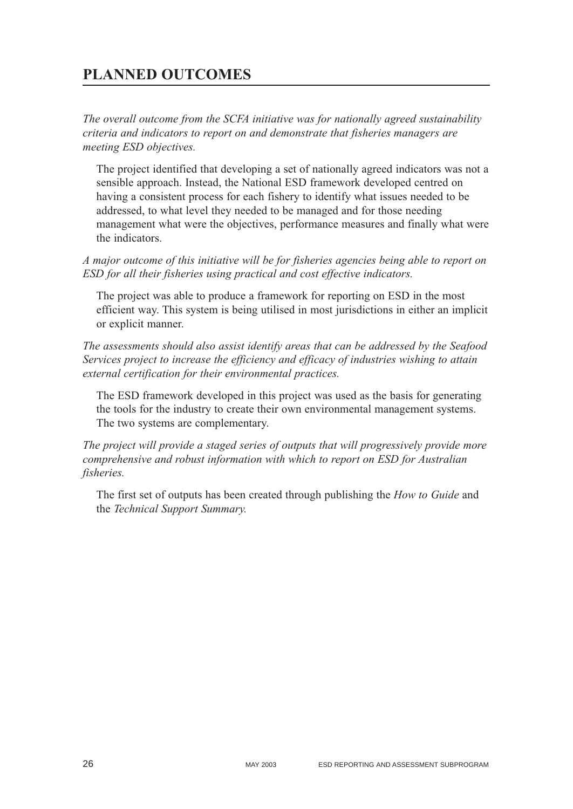# <span id="page-26-0"></span>**PLANNED OUTCOMES**

*The overall outcome from the SCFA initiative was for nationally agreed sustainability criteria and indicators to report on and demonstrate that fisheries managers are meeting ESD objectives.*

The project identified that developing a set of nationally agreed indicators was not a sensible approach. Instead, the National ESD framework developed centred on having a consistent process for each fishery to identify what issues needed to be addressed, to what level they needed to be managed and for those needing management what were the objectives, performance measures and finally what were the indicators.

*A major outcome of this initiative will be for fisheries agencies being able to report on ESD for all their fisheries using practical and cost effective indicators.*

The project was able to produce a framework for reporting on ESD in the most efficient way. This system is being utilised in most jurisdictions in either an implicit or explicit manner.

*The assessments should also assist identify areas that can be addressed by the Seafood Services project to increase the efficiency and efficacy of industries wishing to attain external certification for their environmental practices.*

The ESD framework developed in this project was used as the basis for generating the tools for the industry to create their own environmental management systems. The two systems are complementary.

*The project will provide a staged series of outputs that will progressively provide more comprehensive and robust information with which to report on ESD for Australian fisheries.*

The first set of outputs has been created through publishing the *How to Guide* and the *Technical Support Summary.*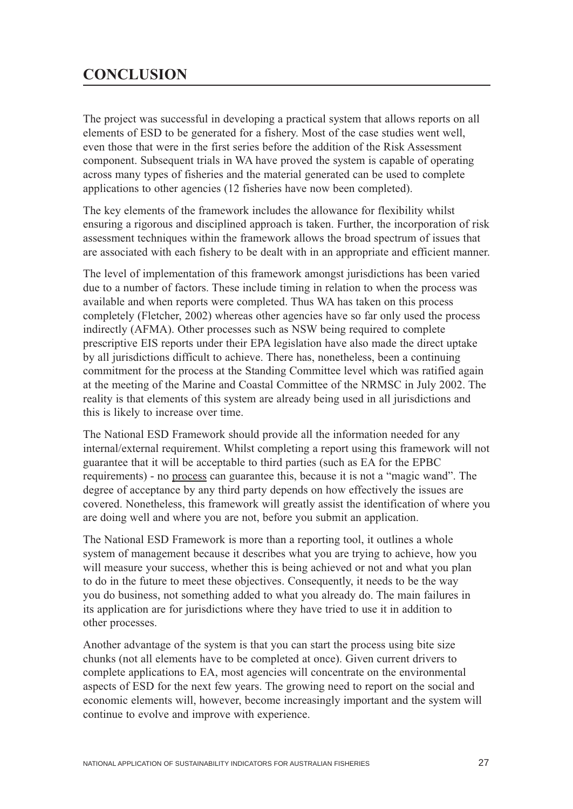# <span id="page-27-0"></span>**CONCLUSION**

The project was successful in developing a practical system that allows reports on all elements of ESD to be generated for a fishery. Most of the case studies went well, even those that were in the first series before the addition of the Risk Assessment component. Subsequent trials in WA have proved the system is capable of operating across many types of fisheries and the material generated can be used to complete applications to other agencies (12 fisheries have now been completed).

The key elements of the framework includes the allowance for flexibility whilst ensuring a rigorous and disciplined approach is taken. Further, the incorporation of risk assessment techniques within the framework allows the broad spectrum of issues that are associated with each fishery to be dealt with in an appropriate and efficient manner.

The level of implementation of this framework amongst jurisdictions has been varied due to a number of factors. These include timing in relation to when the process was available and when reports were completed. Thus WA has taken on this process completely (Fletcher, 2002) whereas other agencies have so far only used the process indirectly (AFMA). Other processes such as NSW being required to complete prescriptive EIS reports under their EPA legislation have also made the direct uptake by all jurisdictions difficult to achieve. There has, nonetheless, been a continuing commitment for the process at the Standing Committee level which was ratified again at the meeting of the Marine and Coastal Committee of the NRMSC in July 2002. The reality is that elements of this system are already being used in all jurisdictions and this is likely to increase over time.

The National ESD Framework should provide all the information needed for any internal/external requirement. Whilst completing a report using this framework will not guarantee that it will be acceptable to third parties (such as EA for the EPBC requirements) - no process can guarantee this, because it is not a "magic wand". The degree of acceptance by any third party depends on how effectively the issues are covered. Nonetheless, this framework will greatly assist the identification of where you are doing well and where you are not, before you submit an application.

The National ESD Framework is more than a reporting tool, it outlines a whole system of management because it describes what you are trying to achieve, how you will measure your success, whether this is being achieved or not and what you plan to do in the future to meet these objectives. Consequently, it needs to be the way you do business, not something added to what you already do. The main failures in its application are for jurisdictions where they have tried to use it in addition to other processes.

Another advantage of the system is that you can start the process using bite size chunks (not all elements have to be completed at once). Given current drivers to complete applications to EA, most agencies will concentrate on the environmental aspects of ESD for the next few years. The growing need to report on the social and economic elements will, however, become increasingly important and the system will continue to evolve and improve with experience.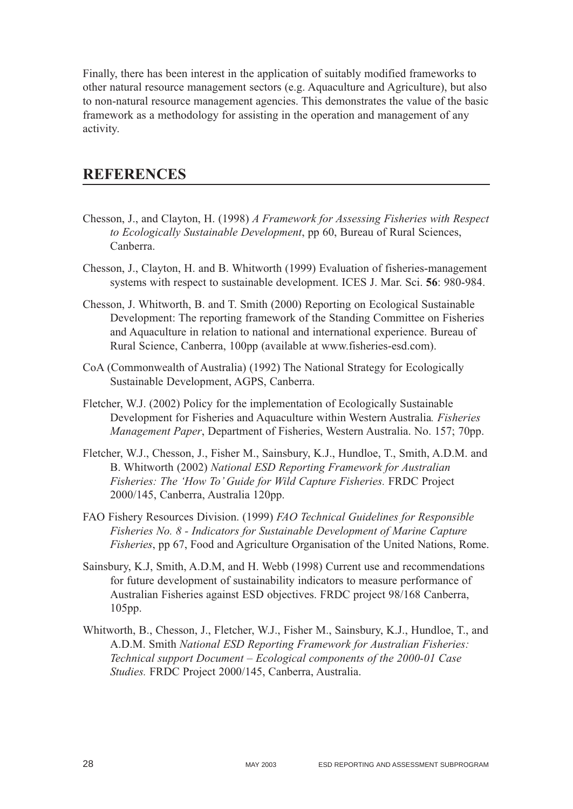<span id="page-28-0"></span>Finally, there has been interest in the application of suitably modified frameworks to other natural resource management sectors (e.g. Aquaculture and Agriculture), but also to non-natural resource management agencies. This demonstrates the value of the basic framework as a methodology for assisting in the operation and management of any activity.

# **REFERENCES**

- Chesson, J., and Clayton, H. (1998) *A Framework for Assessing Fisheries with Respect to Ecologically Sustainable Development*, pp 60, Bureau of Rural Sciences, Canberra.
- Chesson, J., Clayton, H. and B. Whitworth (1999) Evaluation of fisheries-management systems with respect to sustainable development. ICES J. Mar. Sci. **56**: 980-984.
- Chesson, J. Whitworth, B. and T. Smith (2000) Reporting on Ecological Sustainable Development: The reporting framework of the Standing Committee on Fisheries and Aquaculture in relation to national and international experience. Bureau of Rural Science, Canberra, 100pp (available at www.fisheries-esd.com).
- CoA (Commonwealth of Australia) (1992) The National Strategy for Ecologically Sustainable Development, AGPS, Canberra.
- Fletcher, W.J. (2002) Policy for the implementation of Ecologically Sustainable Development for Fisheries and Aquaculture within Western Australia*. Fisheries Management Paper*, Department of Fisheries, Western Australia. No. 157; 70pp.
- Fletcher, W.J., Chesson, J., Fisher M., Sainsbury, K.J., Hundloe, T., Smith, A.D.M. and B. Whitworth (2002) *National ESD Reporting Framework for Australian Fisheries: The 'How To' Guide for Wild Capture Fisheries.* FRDC Project 2000/145, Canberra, Australia 120pp.
- FAO Fishery Resources Division. (1999) *FAO Technical Guidelines for Responsible Fisheries No. 8 - Indicators for Sustainable Development of Marine Capture Fisheries*, pp 67, Food and Agriculture Organisation of the United Nations, Rome.
- Sainsbury, K.J, Smith, A.D.M, and H. Webb (1998) Current use and recommendations for future development of sustainability indicators to measure performance of Australian Fisheries against ESD objectives. FRDC project 98/168 Canberra, 105pp.
- Whitworth, B., Chesson, J., Fletcher, W.J., Fisher M., Sainsbury, K.J., Hundloe, T., and A.D.M. Smith *National ESD Reporting Framework for Australian Fisheries: Technical support Document – Ecological components of the 2000-01 Case Studies.* FRDC Project 2000/145, Canberra, Australia.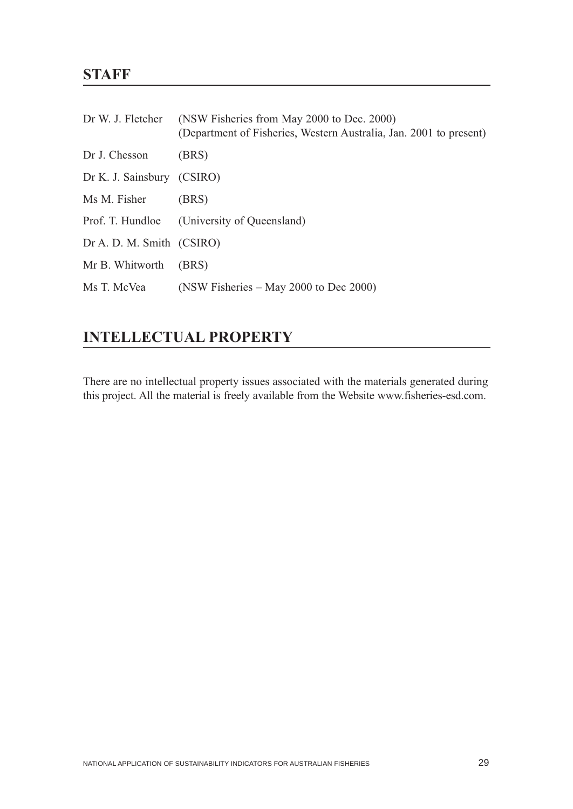# <span id="page-29-0"></span>**STAFF**

| Dr W. J. Fletcher          | (NSW Fisheries from May 2000 to Dec. 2000)<br>(Department of Fisheries, Western Australia, Jan. 2001 to present) |
|----------------------------|------------------------------------------------------------------------------------------------------------------|
| Dr J. Chesson              | (BRS)                                                                                                            |
| Dr K. J. Sainsbury (CSIRO) |                                                                                                                  |
| Ms M. Fisher               | (BRS)                                                                                                            |
|                            | Prof. T. Hundloe (University of Queensland)                                                                      |
| Dr A. D. M. Smith (CSIRO)  |                                                                                                                  |
| Mr B. Whitworth            | (BRS)                                                                                                            |
| Ms T. McVea                | (NSW Fisheries $-$ May 2000 to Dec 2000)                                                                         |

# **INTELLECTUAL PROPERTY**

There are no intellectual property issues associated with the materials generated during this project. All the material is freely available from the Website www.fisheries-esd.com.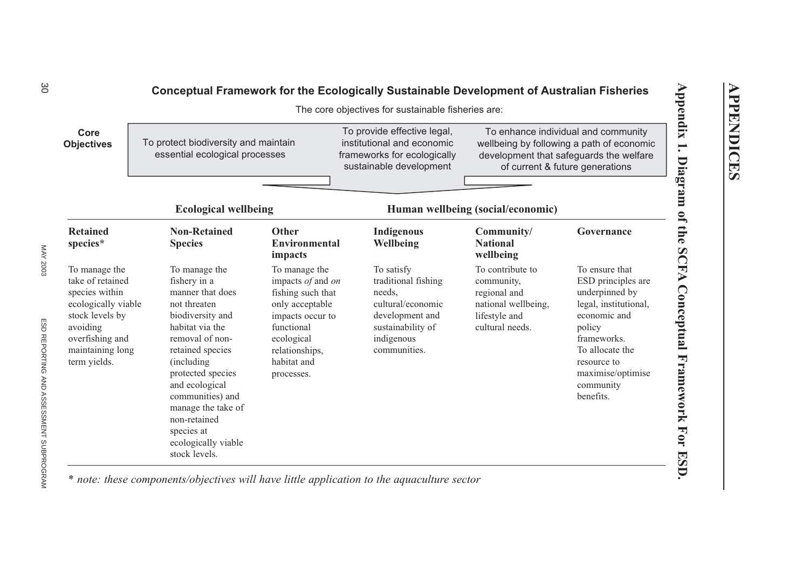## **Conceptual Framework for the Ecologically Sustainable Development of Australian Fisheries**

The core objectives for sustainable fisheries are:

| Core<br><b>Objectives</b>                                                                                                                                        | To protect biodiversity and maintain<br>essential ecological processes                                                                                                                                                                                                                                                |                                                                                                                                                                           | To provide effective legal,<br>institutional and economic<br>frameworks for ecologically<br>sustainable development                    |                                                                                                           | To enhance individual and community<br>wellbeing by following a path of economic<br>development that safeguards the welfare<br>of current & future generations                                            |
|------------------------------------------------------------------------------------------------------------------------------------------------------------------|-----------------------------------------------------------------------------------------------------------------------------------------------------------------------------------------------------------------------------------------------------------------------------------------------------------------------|---------------------------------------------------------------------------------------------------------------------------------------------------------------------------|----------------------------------------------------------------------------------------------------------------------------------------|-----------------------------------------------------------------------------------------------------------|-----------------------------------------------------------------------------------------------------------------------------------------------------------------------------------------------------------|
|                                                                                                                                                                  | <b>Ecological wellbeing</b>                                                                                                                                                                                                                                                                                           |                                                                                                                                                                           |                                                                                                                                        | Human wellbeing (social/economic)                                                                         |                                                                                                                                                                                                           |
| <b>Retained</b><br>species*                                                                                                                                      | <b>Non-Retained</b><br><b>Species</b>                                                                                                                                                                                                                                                                                 | Other<br><b>Environmental</b><br>impacts                                                                                                                                  | <b>Indigenous</b><br>Wellbeing                                                                                                         | Community/<br><b>National</b><br>wellbeing                                                                | Governance                                                                                                                                                                                                |
| To manage the<br>take of retained<br>species within<br>ecologically viable<br>stock levels by<br>avoiding<br>overfishing and<br>maintaining long<br>term yields. | To manage the<br>fishery in a<br>manner that does<br>not threaten<br>biodiversity and<br>habitat via the<br>removal of non-<br>retained species<br>(including)<br>protected species<br>and ecological<br>communities) and<br>manage the take of<br>non-retained<br>species at<br>ecologically viable<br>stock levels. | To manage the<br>impacts of and on<br>fishing such that<br>only acceptable<br>impacts occur to<br>functional<br>ecological<br>relationships,<br>habitat and<br>processes. | To satisfy<br>traditional fishing<br>needs,<br>cultural/economic<br>development and<br>sustainability of<br>indigenous<br>communities. | To contribute to<br>community,<br>regional and<br>national wellbeing,<br>lifestyle and<br>cultural needs. | To ensure that<br>ESD principles are<br>underpinned by<br>legal, institutional,<br>economic and<br>policy<br>frameworks.<br>To allocate the<br>resource to<br>maximise/optimise<br>community<br>benefits. |

*\* note: these components/objectives will have little application to the aquaculture sector*

**Appendix 1. Diagram of the SCFA Conceptual Framework For ESD.**

Appendix 1. Diagram of the SCFA Conceptual Framework For ESD.

<span id="page-30-0"></span>30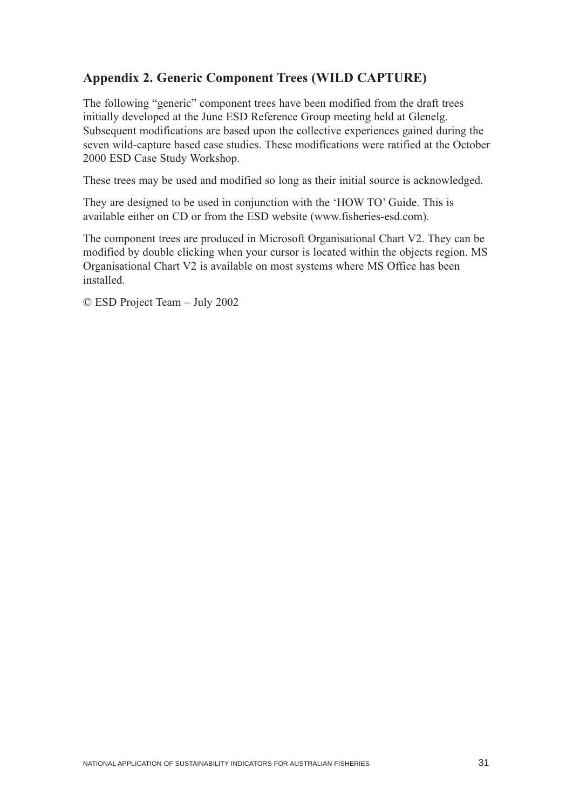# <span id="page-31-0"></span>**Appendix 2. Generic Component Trees (WILD CAPTURE)**

The following "generic" component trees have been modified from the draft trees initially developed at the June ESD Reference Group meeting held at Glenelg. Subsequent modifications are based upon the collective experiences gained during the seven wild-capture based case studies. These modifications were ratified at the October 2000 ESD Case Study Workshop.

These trees may be used and modified so long as their initial source is acknowledged.

They are designed to be used in conjunction with the 'HOW TO' Guide. This is available either on CD or from the ESD website (www.fisheries-esd.com).

The component trees are produced in Microsoft Organisational Chart V2. They can be modified by double clicking when your cursor is located within the objects region. MS Organisational Chart V2 is available on most systems where MS Office has been installed.

© ESD Project Team – July 2002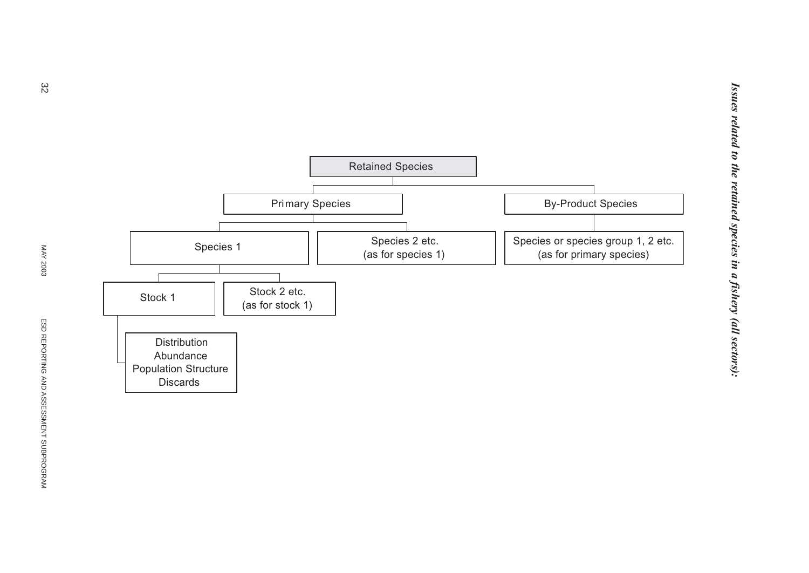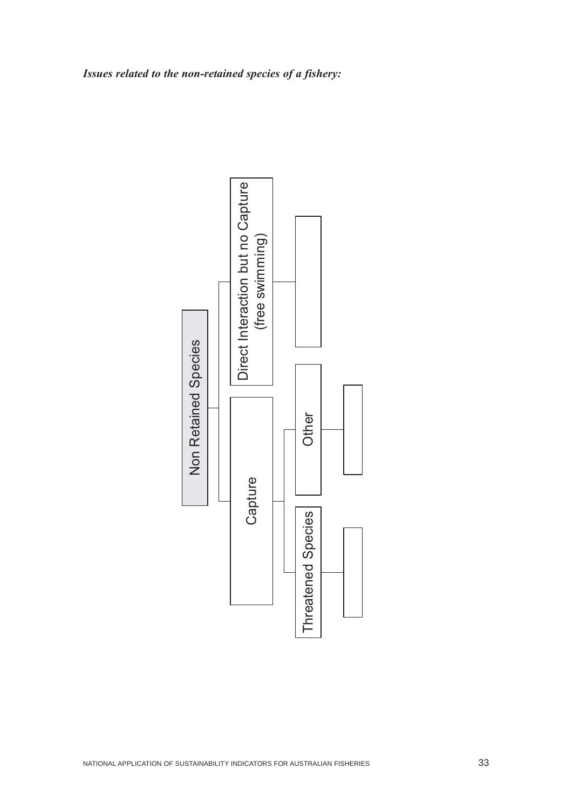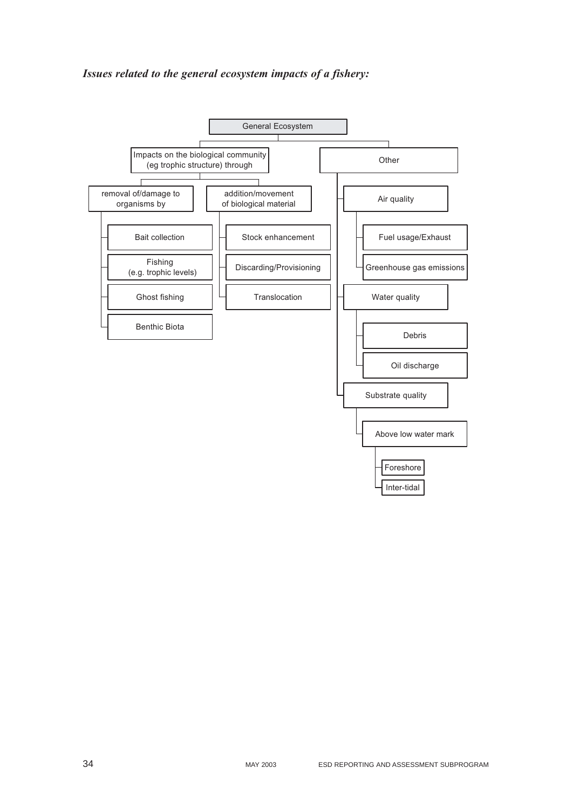#### *Issues related to the general ecosystem impacts of a fishery:*

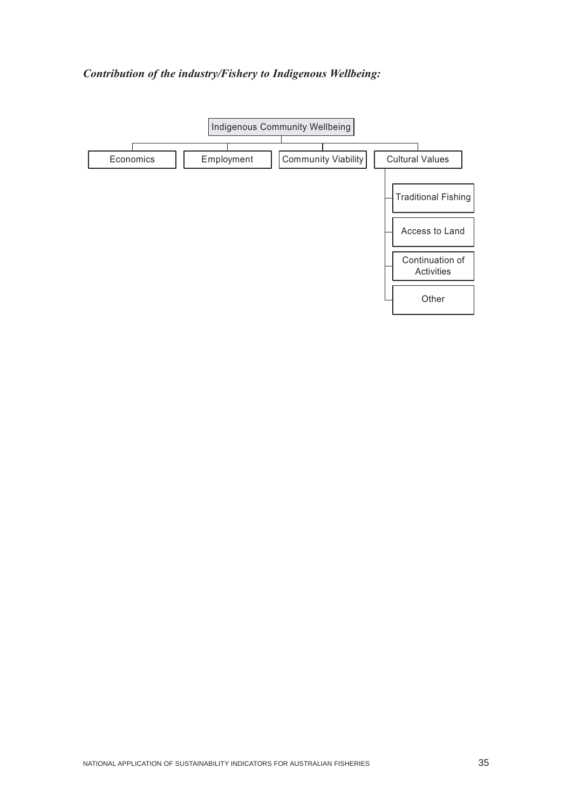## *Contribution of the industry/Fishery to Indigenous Wellbeing:*

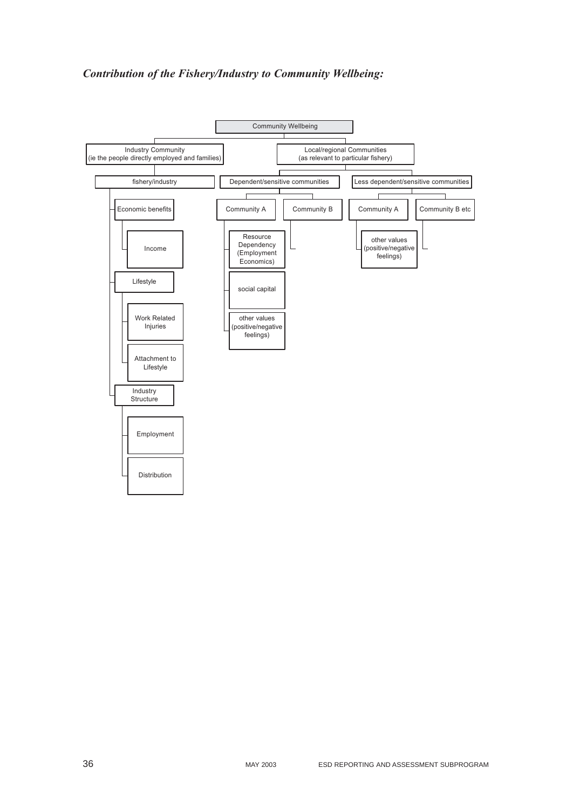#### *Contribution of the Fishery/Industry to Community Wellbeing:*

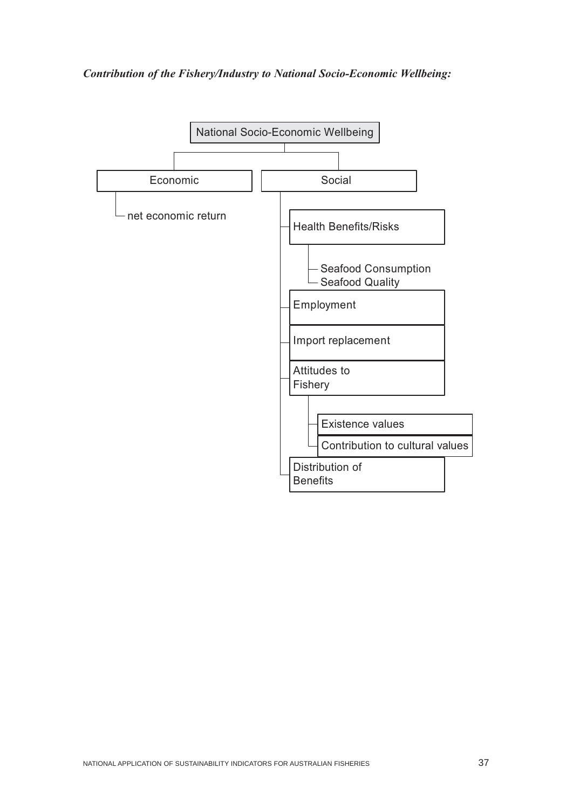#### *Contribution of the Fishery/Industry to National Socio-Economic Wellbeing:*

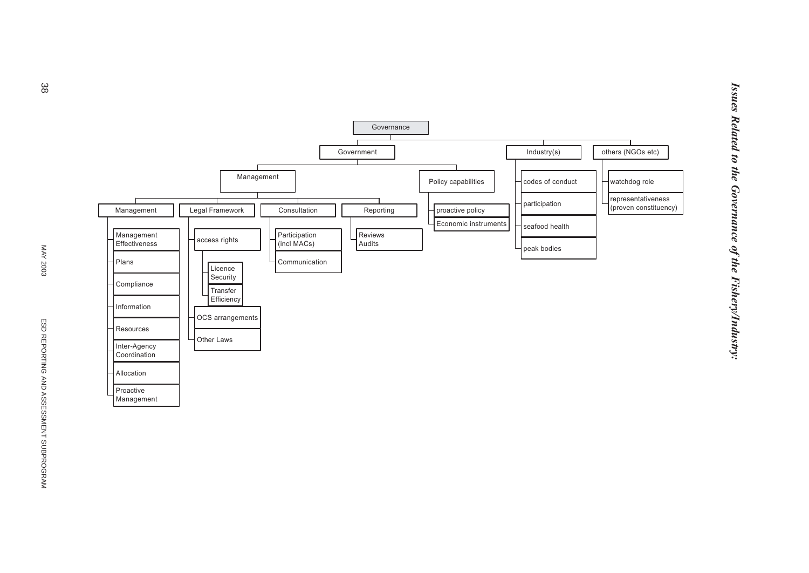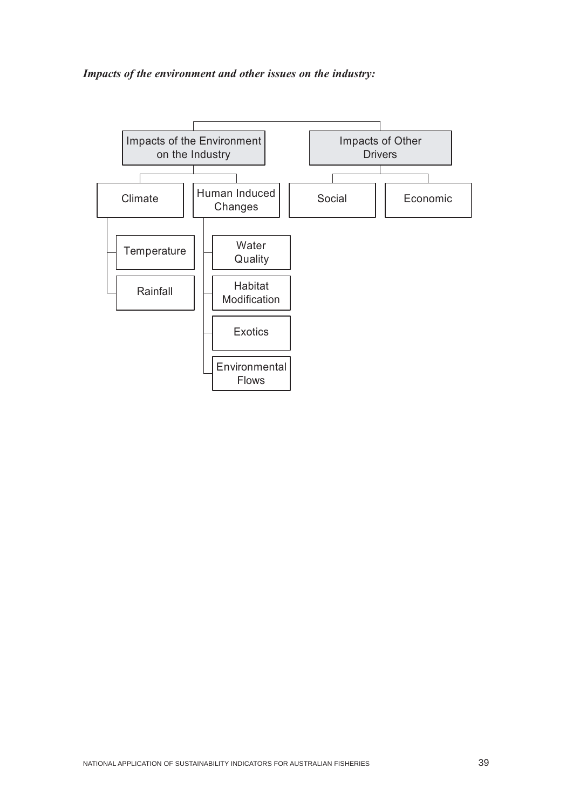#### *Impacts of the environment and other issues on the industry:*

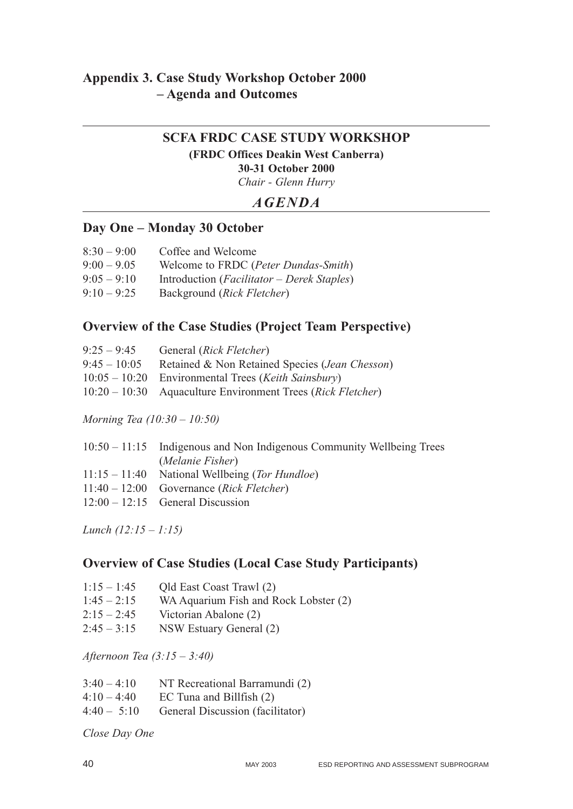# <span id="page-40-0"></span>**Appendix 3. Case Study Workshop October 2000 – Agenda and Outcomes**

# **SCFA FRDC CASE STUDY WORKSHOP**

**(FRDC Offices Deakin West Canberra)**

**30-31 October 2000**

*Chair - Glenn Hurry*

#### *AGENDA*

# **Day One – Monday 30 October**

| $8:30 - 9:00$ | Coffee and Welcome                                  |
|---------------|-----------------------------------------------------|
| $9:00 - 9.05$ | Welcome to FRDC (Peter Dundas-Smith)                |
| $9:05 - 9:10$ | Introduction ( <i>Facilitator – Derek Staples</i> ) |
| $9:10 - 9:25$ | Background ( <i>Rick Fletcher</i> )                 |

#### **Overview of the Case Studies (Project Team Perspective)**

| $9:25 - 9:45$  | General ( <i>Rick Fletcher</i> )                                       |
|----------------|------------------------------------------------------------------------|
| $9:45 - 10:05$ | Retained & Non Retained Species (Jean Chesson)                         |
|                | $10:05 - 10:20$ Environmental Trees ( <i>Keith Sainsbury</i> )         |
|                | $10:20 - 10:30$ Aquaculture Environment Trees ( <i>Rick Fletcher</i> ) |

*Morning Tea (10:30 – 10:50)*

| $10:50 - 11:15$ Indigenous and Non Indigenous Community Wellbeing Trees |
|-------------------------------------------------------------------------|
| (Melanie Fisher)                                                        |
| $11:15 - 11:40$ National Wellbeing ( <i>Tor Hundloe</i> )               |
| $11:40 - 12:00$ Governance ( <i>Rick Fletcher</i> )                     |
| $12:00 - 12:15$ General Discussion                                      |
|                                                                         |

*Lunch (12:15 – 1:15)*

# **Overview of Case Studies (Local Case Study Participants)**

| $1:15 - 1:45$ | Qld East Coast Trawl (2)              |
|---------------|---------------------------------------|
| $1:45 - 2:15$ | WA Aquarium Fish and Rock Lobster (2) |
| $2:15 - 2:45$ | Victorian Abalone (2)                 |
| $2:45 - 3:15$ | NSW Estuary General (2)               |

*Afternoon Tea (3:15 – 3:40)*

| $3:40 - 4:10$ | NT Recreational Barramundi (2)   |
|---------------|----------------------------------|
| $4:10-4:40$   | EC Tuna and Billfish $(2)$       |
| $4:40 - 5:10$ | General Discussion (facilitator) |

*Close Day One*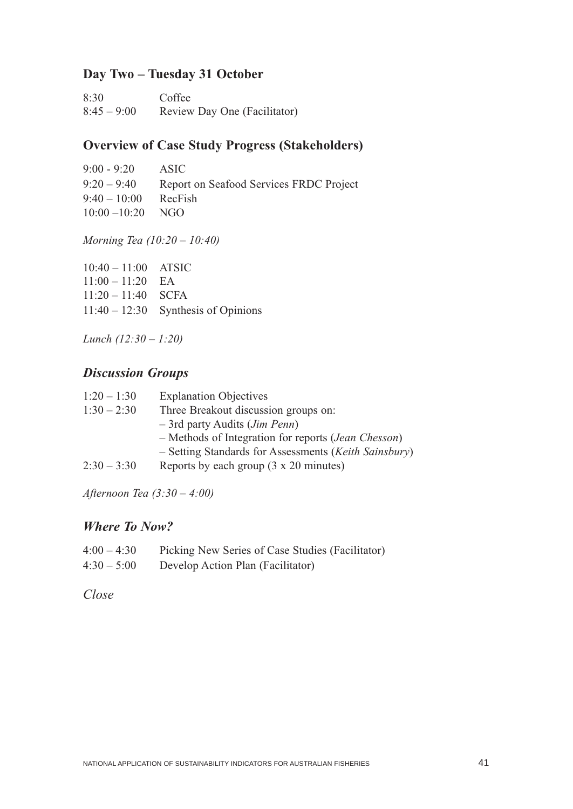# **Day Two – Tuesday 31 October**

| 8:30          | Coffee                       |
|---------------|------------------------------|
| $8:45 - 9:00$ | Review Day One (Facilitator) |

# **Overview of Case Study Progress (Stakeholders)**

| $9:00 - 9:20$       | <b>ASIC</b>                             |
|---------------------|-----------------------------------------|
| $9:20 - 9:40$       | Report on Seafood Services FRDC Project |
| $9:40 - 10:00$      | RecFish                                 |
| $10:00 - 10:20$ NGO |                                         |

*Morning Tea (10:20 – 10:40)*

| $10:40 - 11:00$ ATSIC |                                       |
|-----------------------|---------------------------------------|
| $11:00 - 11:20$ EA    |                                       |
| $11:20 - 11:40$ SCFA  |                                       |
|                       | $11:40 - 12:30$ Synthesis of Opinions |

*Lunch (12:30 – 1:20)*

# *Discussion Groups*

| Three Breakout discussion groups on:<br>$1:30 - 2:30$                  |
|------------------------------------------------------------------------|
| $-$ 3rd party Audits ( <i>Jim Penn</i> )                               |
| - Methods of Integration for reports (Jean Chesson)                    |
| - Setting Standards for Assessments ( <i>Keith Sainsbury</i> )         |
| Reports by each group $(3 \times 20 \text{ minutes})$<br>$2:30 - 3:30$ |

*Afternoon Tea (3:30 – 4:00)*

# *Where To Now?*

| $4:00 - 4:30$ |  |  |  | Picking New Series of Case Studies (Facilitator) |
|---------------|--|--|--|--------------------------------------------------|
|               |  |  |  |                                                  |

4:30 – 5:00 Develop Action Plan (Facilitator)

*Close*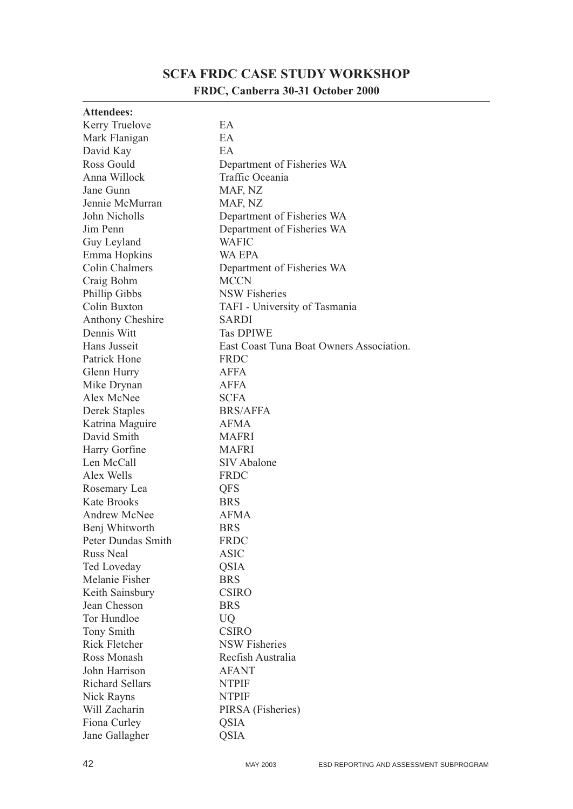# **SCFA FRDC CASE STUDY WORKSHOP FRDC, Canberra 30-31 October 2000**

| <b>Attendees:</b>      |                                          |
|------------------------|------------------------------------------|
| Kerry Truelove         | EA                                       |
| Mark Flanigan          | EA                                       |
| David Kay              | EA                                       |
| Ross Gould             | Department of Fisheries WA               |
| Anna Willock           | Traffic Oceania                          |
| Jane Gunn              | MAF, NZ                                  |
| Jennie McMurran        | MAF, NZ                                  |
| John Nicholls          | Department of Fisheries WA               |
| Jim Penn               | Department of Fisheries WA               |
| Guy Leyland            | <b>WAFIC</b>                             |
| Emma Hopkins           | <b>WA EPA</b>                            |
| Colin Chalmers         | Department of Fisheries WA               |
| Craig Bohm             | <b>MCCN</b>                              |
| Phillip Gibbs          | <b>NSW Fisheries</b>                     |
| Colin Buxton           | TAFI - University of Tasmania            |
| Anthony Cheshire       | <b>SARDI</b>                             |
| Dennis Witt            | <b>Tas DPIWE</b>                         |
| Hans Jusseit           | East Coast Tuna Boat Owners Association. |
| Patrick Hone           | <b>FRDC</b>                              |
| Glenn Hurry            | <b>AFFA</b>                              |
| Mike Drynan            | <b>AFFA</b>                              |
| Alex McNee             | <b>SCFA</b>                              |
| Derek Staples          | <b>BRS/AFFA</b>                          |
| Katrina Maguire        | <b>AFMA</b>                              |
| David Smith            | <b>MAFRI</b>                             |
| Harry Gorfine          | <b>MAFRI</b>                             |
| Len McCall             | <b>SIV</b> Abalone                       |
| Alex Wells             | <b>FRDC</b>                              |
| Rosemary Lea           | QFS                                      |
| <b>Kate Brooks</b>     | <b>BRS</b>                               |
| Andrew McNee           | <b>AFMA</b>                              |
| Benj Whitworth         | <b>BRS</b>                               |
| Peter Dundas Smith     | <b>FRDC</b>                              |
| <b>Russ Neal</b>       | <b>ASIC</b>                              |
| Ted Loveday            | <b>QSIA</b>                              |
| Melanie Fisher         | <b>BRS</b>                               |
| Keith Sainsbury        | <b>CSIRO</b>                             |
| Jean Chesson           | <b>BRS</b>                               |
| Tor Hundloe            | <b>UQ</b>                                |
| Tony Smith             | <b>CSIRO</b>                             |
| <b>Rick Fletcher</b>   | <b>NSW Fisheries</b>                     |
| Ross Monash            | Recfish Australia                        |
| John Harrison          | <b>AFANT</b>                             |
| <b>Richard Sellars</b> | <b>NTPIF</b>                             |
| Nick Rayns             | <b>NTPIF</b>                             |
| Will Zacharin          | PIRSA (Fisheries)                        |
| Fiona Curley           | <b>QSIA</b>                              |
| Jane Gallagher         | <b>QSIA</b>                              |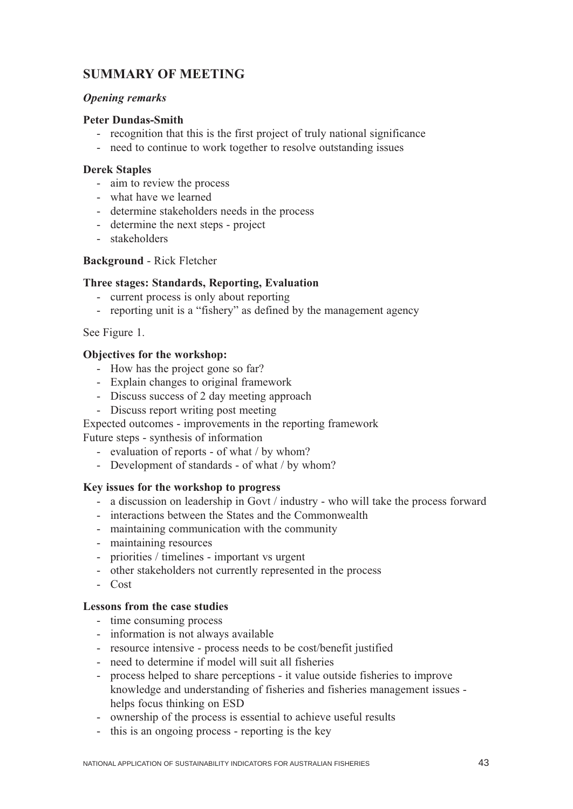# **SUMMARY OF MEETING**

#### *Opening remarks*

#### **Peter Dundas-Smith**

- recognition that this is the first project of truly national significance
- need to continue to work together to resolve outstanding issues

#### **Derek Staples**

- aim to review the process
- what have we learned
- determine stakeholders needs in the process
- determine the next steps project
- stakeholders

#### **Background** - Rick Fletcher

#### **Three stages: Standards, Reporting, Evaluation**

- current process is only about reporting
- reporting unit is a "fishery" as defined by the management agency

See Figure 1.

#### **Objectives for the workshop:**

- How has the project gone so far?
- Explain changes to original framework
- Discuss success of 2 day meeting approach
- Discuss report writing post meeting

Expected outcomes - improvements in the reporting framework Future steps - synthesis of information

- evaluation of reports of what / by whom?
- Development of standards of what / by whom?

#### **Key issues for the workshop to progress**

- a discussion on leadership in Govt / industry who will take the process forward
- interactions between the States and the Commonwealth
- maintaining communication with the community
- maintaining resources
- priorities / timelines important vs urgent
- other stakeholders not currently represented in the process
- Cost

#### **Lessons from the case studies**

- time consuming process
- information is not always available
- resource intensive process needs to be cost/benefit justified
- need to determine if model will suit all fisheries
- process helped to share perceptions it value outside fisheries to improve knowledge and understanding of fisheries and fisheries management issues helps focus thinking on ESD
- ownership of the process is essential to achieve useful results
- this is an ongoing process reporting is the key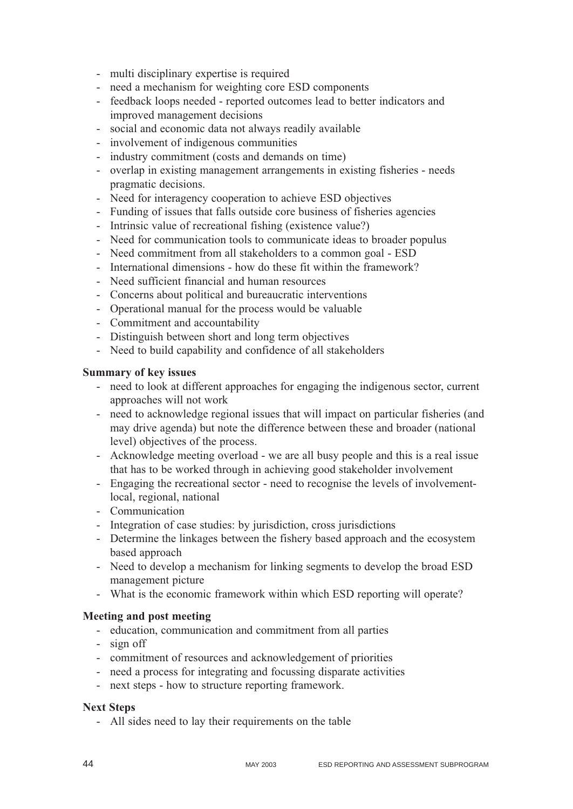- multi disciplinary expertise is required
- need a mechanism for weighting core ESD components
- feedback loops needed reported outcomes lead to better indicators and improved management decisions
- social and economic data not always readily available
- involvement of indigenous communities
- industry commitment (costs and demands on time)
- overlap in existing management arrangements in existing fisheries needs pragmatic decisions.
- Need for interagency cooperation to achieve ESD objectives
- Funding of issues that falls outside core business of fisheries agencies
- Intrinsic value of recreational fishing (existence value?)
- Need for communication tools to communicate ideas to broader populus
- Need commitment from all stakeholders to a common goal ESD
- International dimensions how do these fit within the framework?
- Need sufficient financial and human resources
- Concerns about political and bureaucratic interventions
- Operational manual for the process would be valuable
- Commitment and accountability
- Distinguish between short and long term objectives
- Need to build capability and confidence of all stakeholders

#### **Summary of key issues**

- need to look at different approaches for engaging the indigenous sector, current approaches will not work
- need to acknowledge regional issues that will impact on particular fisheries (and may drive agenda) but note the difference between these and broader (national level) objectives of the process.
- Acknowledge meeting overload we are all busy people and this is a real issue that has to be worked through in achieving good stakeholder involvement
- Engaging the recreational sector need to recognise the levels of involvementlocal, regional, national
- Communication
- Integration of case studies: by jurisdiction, cross jurisdictions
- Determine the linkages between the fishery based approach and the ecosystem based approach
- Need to develop a mechanism for linking segments to develop the broad ESD management picture
- What is the economic framework within which ESD reporting will operate?

#### **Meeting and post meeting**

- education, communication and commitment from all parties
- sign off
- commitment of resources and acknowledgement of priorities
- need a process for integrating and focussing disparate activities
- next steps how to structure reporting framework.

#### **Next Steps**

- All sides need to lay their requirements on the table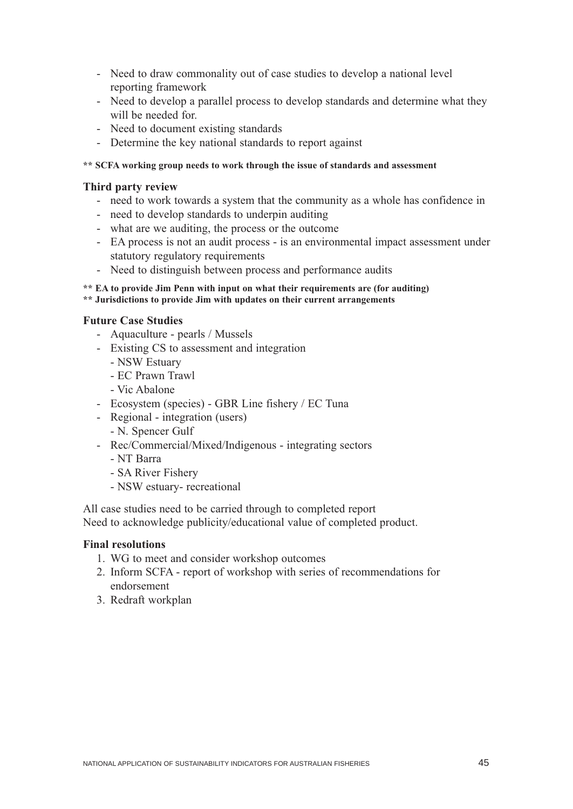- Need to draw commonality out of case studies to develop a national level reporting framework
- Need to develop a parallel process to develop standards and determine what they will be needed for.
- Need to document existing standards
- Determine the key national standards to report against

#### **\*\* SCFA working group needs to work through the issue of standards and assessment**

#### **Third party review**

- need to work towards a system that the community as a whole has confidence in
- need to develop standards to underpin auditing
- what are we auditing, the process or the outcome
- EA process is not an audit process is an environmental impact assessment under statutory regulatory requirements
- Need to distinguish between process and performance audits

#### **\*\* EA to provide Jim Penn with input on what their requirements are (for auditing) \*\* Jurisdictions to provide Jim with updates on their current arrangements**

#### **Future Case Studies**

- Aquaculture pearls / Mussels
- Existing CS to assessment and integration
	- NSW Estuary
	- EC Prawn Trawl
	- Vic Abalone
- Ecosystem (species) GBR Line fishery / EC Tuna
- Regional integration (users)
	- N. Spencer Gulf
- Rec/Commercial/Mixed/Indigenous integrating sectors
	- NT Barra
	- SA River Fishery
	- NSW estuary- recreational

All case studies need to be carried through to completed report Need to acknowledge publicity/educational value of completed product.

#### **Final resolutions**

- 1. WG to meet and consider workshop outcomes
- 2. Inform SCFA report of workshop with series of recommendations for endorsement
- 3. Redraft workplan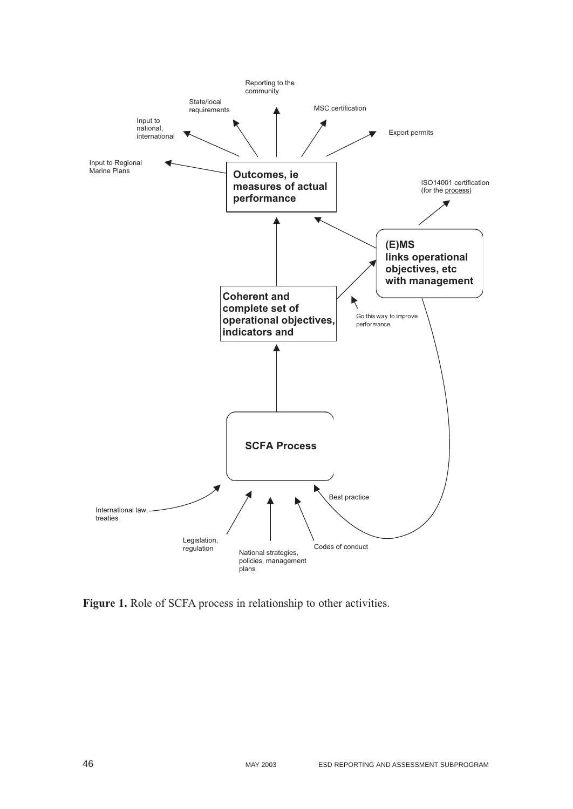

**Figure 1.** Role of SCFA process in relationship to other activities.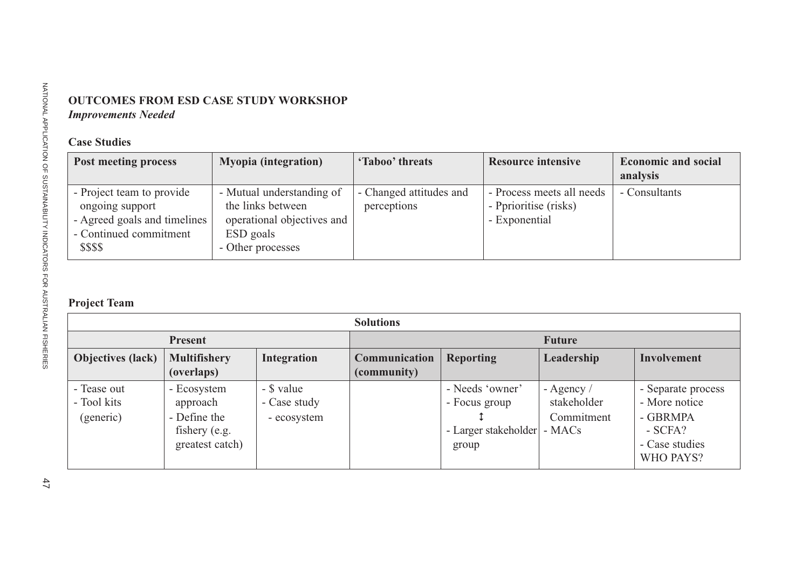| Post meeting process                                                                                               | <b>Myopia</b> (integration)                                                                                    | 'Taboo' threats                        | <b>Resource intensive</b>                                           | <b>Economic and social</b><br>analysis |
|--------------------------------------------------------------------------------------------------------------------|----------------------------------------------------------------------------------------------------------------|----------------------------------------|---------------------------------------------------------------------|----------------------------------------|
| - Project team to provide<br>ongoing support<br>- Agreed goals and timelines<br>- Continued commitment<br>\$\$\$\$ | - Mutual understanding of<br>the links between<br>operational objectives and<br>ESD goals<br>- Other processes | - Changed attitudes and<br>perceptions | - Process meets all needs<br>- Pprioritise (risks)<br>- Exponential | - Consultants                          |

| <b>Post meeting process</b>                                                                                        |                                   |           | <b>Myopia</b> (integration)                                                                       | 'Taboo' threats              |                                                                                                | <b>Resource intensive</b> |               | <b>Economic and social</b><br>analysis |
|--------------------------------------------------------------------------------------------------------------------|-----------------------------------|-----------|---------------------------------------------------------------------------------------------------|------------------------------|------------------------------------------------------------------------------------------------|---------------------------|---------------|----------------------------------------|
| - Project team to provide<br>ongoing support<br>- Agreed goals and timelines<br>- Continued commitment<br>\$\$\$\$ |                                   | ESD goals | - Mutual understanding of<br>the links between<br>operational objectives and<br>- Other processes | perceptions                  | - Changed attitudes and<br>- Process meets all needs<br>- Pprioritise (risks)<br>- Exponential |                           |               | - Consultants                          |
| <b>Project Team</b>                                                                                                |                                   |           |                                                                                                   |                              |                                                                                                |                           |               |                                        |
|                                                                                                                    |                                   |           |                                                                                                   | <b>Solutions</b>             |                                                                                                |                           |               |                                        |
|                                                                                                                    | <b>Present</b>                    |           |                                                                                                   |                              |                                                                                                |                           | <b>Future</b> |                                        |
| <b>Objectives (lack)</b>                                                                                           | <b>Multifishery</b><br>(overlaps) |           | <b>Integration</b>                                                                                | Communication<br>(community) | <b>Reporting</b>                                                                               |                           | Leadership    | Involvement                            |